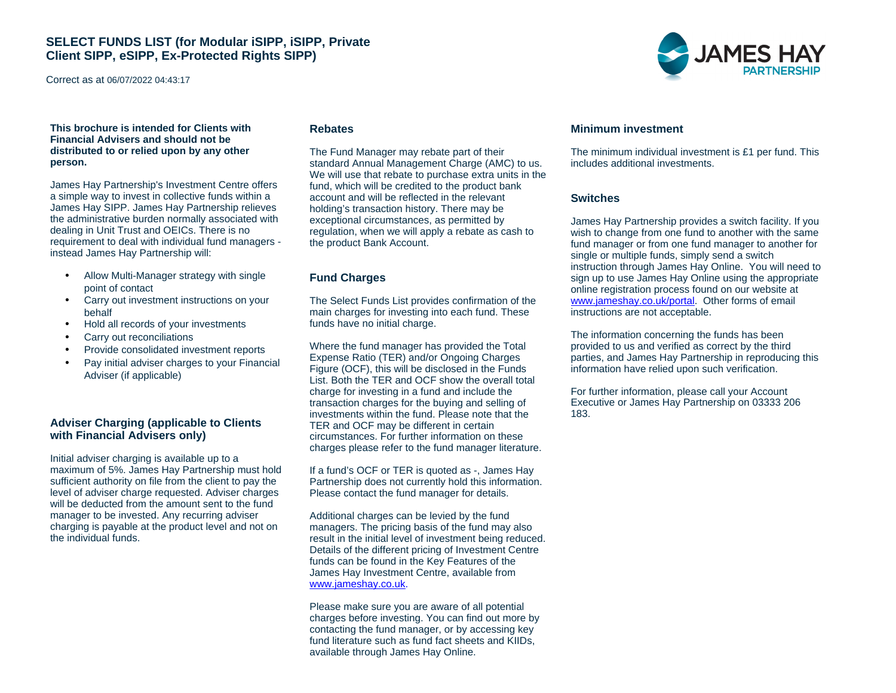Correct as at 06/07/2022 04:43:17

#### **This brochure is intended for Clients with Financial Advisers and should not be distributed to or relied upon by any other person.**

James Hay Partnership's Investment Centre offers a simple way to invest in collective funds within a James Hay SIPP. James Hay Partnership relieves the administrative burden normally associated with dealing in Unit Trust and OEICs. There is no requirement to deal with individual fund managers instead James Hay Partnership will:

- Allow Multi-Manager strategy with single point of contact
- Carry out investment instructions on your behalf
- Hold all records of your investments
- Carry out reconciliations
- Provide consolidated investment reports
- Pay initial adviser charges to your Financial Adviser (if applicable)

#### **Adviser Charging (applicable to Clients with Financial Advisers only)**

Initial adviser charging is available up to a maximum of 5%. James Hay Partnership must hold sufficient authority on file from the client to pay the level of adviser charge requested. Adviser charges will be deducted from the amount sent to the fund manager to be invested. Any recurring adviser charging is payable at the product level and not on the individual funds.

#### **Rebates**

The Fund Manager may rebate part of their standard Annual Management Charge (AMC) to us. We will use that rebate to purchase extra units in the fund, which will be credited to the product bank account and will be reflected in the relevant holding's transaction history. There may be exceptional circumstances, as permitted by regulation, when we will apply a rebate as cash to the product Bank Account.

#### **Fund Charges**

The Select Funds List provides confirmation of the main charges for investing into each fund. These funds have no initial charge.

Where the fund manager has provided the Total Expense Ratio (TER) and/or Ongoing Charges Figure (OCF), this will be disclosed in the Funds List. Both the TER and OCF show the overall total charge for investing in a fund and include the transaction charges for the buying and selling of investments within the fund. Please note that the TER and OCF may be different in certain circumstances. For further information on these charges please refer to the fund manager literature.

If a fund's OCF or TER is quoted as -, James Hay Partnership does not currently hold this information. Please contact the fund manager for details.

Additional charges can be levied by the fund managers. The pricing basis of the fund may also result in the initial level of investment being reduced. Details of the different pricing of Investment Centre funds can be found in the Key Features of the James Hay Investment Centre, available from www.jameshay.co.uk.

Please make sure you are aware of all potential charges before investing. You can find out more by contacting the fund manager, or by accessing key fund literature such as fund fact sheets and KIIDs, available through James Hay Online.



#### **Minimum investment**

The minimum individual investment is £1 per fund. This includes additional investments.

#### **Switches**

James Hay Partnership provides a switch facility. If you wish to change from one fund to another with the same fund manager or from one fund manager to another for single or multiple funds, simply send a switch instruction through James Hay Online. You will need to sign up to use James Hay Online using the appropriate online registration process found on our website at www.jameshay.co.uk/portal. Other forms of email instructions are not acceptable.

The information concerning the funds has been provided to us and verified as correct by the third parties, and James Hay Partnership in reproducing this information have relied upon such verification.

For further information, please call your Account Executive or James Hay Partnership on 03333 206 183.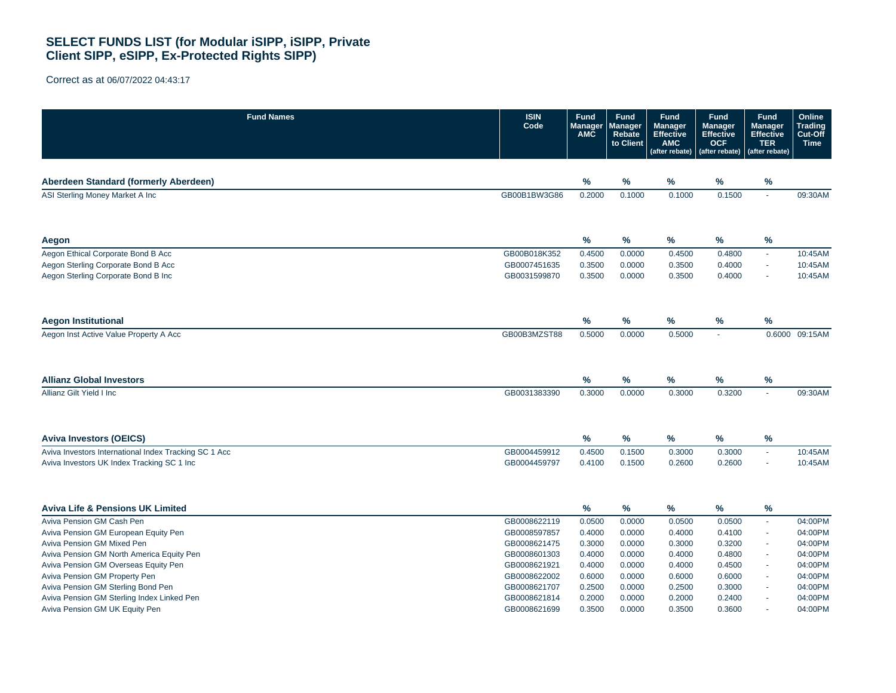| <b>Fund Names</b>                                     | <b>ISIN</b><br>Code | <b>Fund</b><br><b>Manager</b><br><b>AMC</b> | <b>Fund</b><br>Manager<br><b>Rebate</b><br>to Client | <b>Fund</b><br><b>Manager</b><br><b>Effective</b><br><b>AMC</b><br>(after rebate) | <b>Fund</b><br><b>Manager</b><br><b>Effective</b><br><b>OCF</b><br>(after rebate) | <b>Fund</b><br><b>Manager</b><br><b>Effective</b><br><b>TER</b><br>(after rebate) | Online<br><b>Trading</b><br>Cut-Off<br><b>Time</b> |
|-------------------------------------------------------|---------------------|---------------------------------------------|------------------------------------------------------|-----------------------------------------------------------------------------------|-----------------------------------------------------------------------------------|-----------------------------------------------------------------------------------|----------------------------------------------------|
| Aberdeen Standard (formerly Aberdeen)                 |                     | %                                           | $\frac{9}{6}$                                        | %                                                                                 | %                                                                                 | %                                                                                 |                                                    |
| ASI Sterling Money Market A Inc                       | GB00B1BW3G86        | 0.2000                                      | 0.1000                                               | 0.1000                                                                            | 0.1500                                                                            | $\sim$                                                                            | 09:30AM                                            |
| Aegon                                                 |                     | %                                           | %                                                    | $\%$                                                                              | %                                                                                 | $\%$                                                                              |                                                    |
| Aegon Ethical Corporate Bond B Acc                    | GB00B018K352        | 0.4500                                      | 0.0000                                               | 0.4500                                                                            | 0.4800                                                                            | $\sim$                                                                            | 10:45AM                                            |
| Aegon Sterling Corporate Bond B Acc                   | GB0007451635        | 0.3500                                      | 0.0000                                               | 0.3500                                                                            | 0.4000                                                                            | $\sim$                                                                            | 10:45AM                                            |
| Aegon Sterling Corporate Bond B Inc                   | GB0031599870        | 0.3500                                      | 0.0000                                               | 0.3500                                                                            | 0.4000                                                                            | $\sim$                                                                            | 10:45AM                                            |
| <b>Aegon Institutional</b>                            |                     | $\%$                                        | $\%$                                                 | $\%$                                                                              | $\%$                                                                              | $\%$                                                                              |                                                    |
| Aegon Inst Active Value Property A Acc                | GB00B3MZST88        | 0.5000                                      | 0.0000                                               | 0.5000                                                                            | ÷.                                                                                | 0.6000                                                                            | 09:15AM                                            |
| <b>Allianz Global Investors</b>                       |                     | %                                           | $\%$                                                 | $\%$                                                                              | $\%$                                                                              | $\%$                                                                              |                                                    |
| Allianz Gilt Yield I Inc                              | GB0031383390        | 0.3000                                      | 0.0000                                               | 0.3000                                                                            | 0.3200                                                                            | $\sim$                                                                            | 09:30AM                                            |
| <b>Aviva Investors (OEICS)</b>                        |                     | %                                           | $\frac{9}{6}$                                        | %                                                                                 | %                                                                                 | %                                                                                 |                                                    |
| Aviva Investors International Index Tracking SC 1 Acc | GB0004459912        | 0.4500                                      | 0.1500                                               | 0.3000                                                                            | 0.3000                                                                            | $\sim$                                                                            | 10:45AM                                            |
| Aviva Investors UK Index Tracking SC 1 Inc            | GB0004459797        | 0.4100                                      | 0.1500                                               | 0.2600                                                                            | 0.2600                                                                            | $\sim$                                                                            | 10:45AM                                            |
| <b>Aviva Life &amp; Pensions UK Limited</b>           |                     | %                                           | $\%$                                                 | %                                                                                 | %                                                                                 | %                                                                                 |                                                    |
| Aviva Pension GM Cash Pen                             | GB0008622119        | 0.0500                                      | 0.0000                                               | 0.0500                                                                            | 0.0500                                                                            | $\sim$                                                                            | 04:00PM                                            |
| Aviva Pension GM European Equity Pen                  | GB0008597857        | 0.4000                                      | 0.0000                                               | 0.4000                                                                            | 0.4100                                                                            | $\sim$                                                                            | 04:00PM                                            |
| Aviva Pension GM Mixed Pen                            | GB0008621475        | 0.3000                                      | 0.0000                                               | 0.3000                                                                            | 0.3200                                                                            | $\sim$                                                                            | 04:00PM                                            |
| Aviva Pension GM North America Equity Pen             | GB0008601303        | 0.4000                                      | 0.0000                                               | 0.4000                                                                            | 0.4800                                                                            | $\sim$                                                                            | 04:00PM                                            |
| Aviva Pension GM Overseas Equity Pen                  | GB0008621921        | 0.4000                                      | 0.0000                                               | 0.4000                                                                            | 0.4500                                                                            | $\sim$                                                                            | 04:00PM                                            |
| Aviva Pension GM Property Pen                         | GB0008622002        | 0.6000                                      | 0.0000                                               | 0.6000                                                                            | 0.6000                                                                            | $\sim$                                                                            | 04:00PM                                            |
| Aviva Pension GM Sterling Bond Pen                    | GB0008621707        | 0.2500                                      | 0.0000                                               | 0.2500                                                                            | 0.3000                                                                            | $\sim$                                                                            | 04:00PM                                            |
| Aviva Pension GM Sterling Index Linked Pen            | GB0008621814        | 0.2000                                      | 0.0000                                               | 0.2000                                                                            | 0.2400                                                                            |                                                                                   | 04:00PM                                            |
| Aviva Pension GM UK Equity Pen                        | GB0008621699        | 0.3500                                      | 0.0000                                               | 0.3500                                                                            | 0.3600                                                                            |                                                                                   | 04:00PM                                            |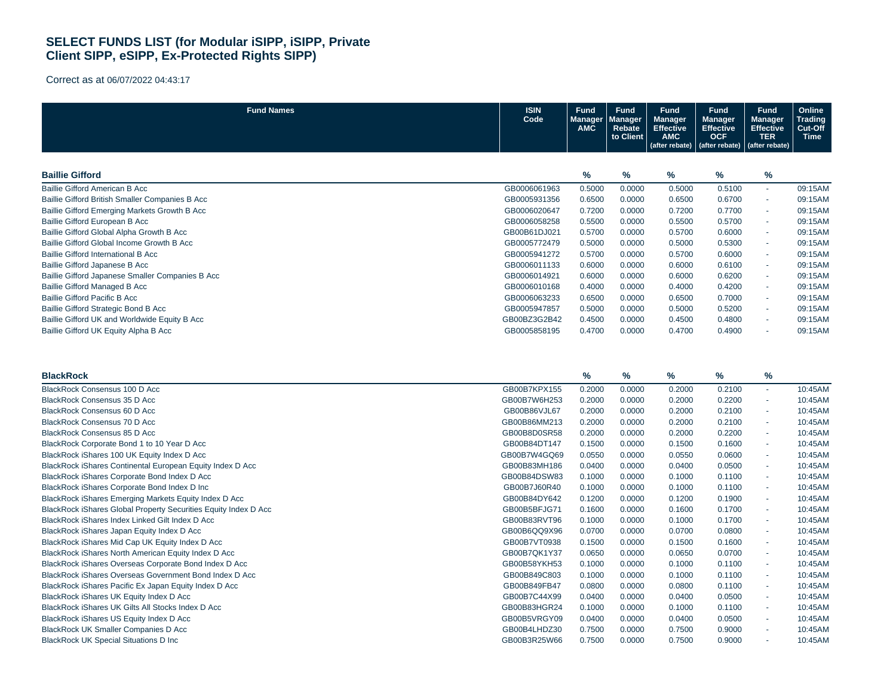| <b>Fund Names</b>                                               | <b>ISIN</b><br>Code | <b>Fund</b><br>Manager<br>AMC | <b>Fund</b><br>Manager<br>Rebate<br>to Client | <b>Fund</b><br><b>Manager</b><br>Effective<br><b>AMC</b><br>(after rebate) | <b>Fund</b><br><b>Manager</b><br><b>Effective</b><br><b>OCF</b><br>(after rebate) | <b>Fund</b><br><b>Manager</b><br>Effective<br><b>TER</b><br>(after rebate) | Online<br>Trading<br>Cut-Off<br><b>Time</b> |
|-----------------------------------------------------------------|---------------------|-------------------------------|-----------------------------------------------|----------------------------------------------------------------------------|-----------------------------------------------------------------------------------|----------------------------------------------------------------------------|---------------------------------------------|
|                                                                 |                     |                               |                                               |                                                                            |                                                                                   |                                                                            |                                             |
| <b>Baillie Gifford</b>                                          |                     | $\%$                          | %                                             | %                                                                          | %                                                                                 | %                                                                          |                                             |
| Baillie Gifford American B Acc                                  | GB0006061963        | 0.5000                        | 0.0000                                        | 0.5000                                                                     | 0.5100                                                                            | $\mathbf{r}$                                                               | 09:15AM                                     |
| Baillie Gifford British Smaller Companies B Acc                 | GB0005931356        | 0.6500                        | 0.0000                                        | 0.6500                                                                     | 0.6700                                                                            | $\sim$                                                                     | 09:15AM                                     |
| Baillie Gifford Emerging Markets Growth B Acc                   | GB0006020647        | 0.7200                        | 0.0000                                        | 0.7200                                                                     | 0.7700                                                                            | ÷.                                                                         | 09:15AM                                     |
| Baillie Gifford European B Acc                                  | GB0006058258        | 0.5500                        | 0.0000                                        | 0.5500                                                                     | 0.5700                                                                            | ×.                                                                         | 09:15AM                                     |
| Baillie Gifford Global Alpha Growth B Acc                       | GB00B61DJ021        | 0.5700                        | 0.0000                                        | 0.5700                                                                     | 0.6000                                                                            | $\sim$                                                                     | 09:15AM                                     |
| Baillie Gifford Global Income Growth B Acc                      | GB0005772479        | 0.5000                        | 0.0000                                        | 0.5000                                                                     | 0.5300                                                                            | $\sim$                                                                     | 09:15AM                                     |
| Baillie Gifford International B Acc                             | GB0005941272        | 0.5700                        | 0.0000                                        | 0.5700                                                                     | 0.6000                                                                            | ÷.                                                                         | 09:15AM                                     |
| Baillie Gifford Japanese B Acc                                  | GB0006011133        | 0.6000                        | 0.0000                                        | 0.6000                                                                     | 0.6100                                                                            | $\sim$                                                                     | 09:15AM                                     |
| Baillie Gifford Japanese Smaller Companies B Acc                | GB0006014921        | 0.6000                        | 0.0000                                        | 0.6000                                                                     | 0.6200                                                                            | ÷.                                                                         | 09:15AM                                     |
| <b>Baillie Gifford Managed B Acc</b>                            | GB0006010168        | 0.4000                        | 0.0000                                        | 0.4000                                                                     | 0.4200                                                                            | $\mathbf{r}$                                                               | 09:15AM                                     |
| <b>Baillie Gifford Pacific B Acc</b>                            | GB0006063233        | 0.6500                        | 0.0000                                        | 0.6500                                                                     | 0.7000                                                                            | ÷.                                                                         | 09:15AM                                     |
| Baillie Gifford Strategic Bond B Acc                            | GB0005947857        | 0.5000                        | 0.0000                                        | 0.5000                                                                     | 0.5200                                                                            | ×.                                                                         | 09:15AM                                     |
| Baillie Gifford UK and Worldwide Equity B Acc                   | GB00BZ3G2B42        | 0.4500                        | 0.0000                                        | 0.4500                                                                     | 0.4800                                                                            | $\mathbf{r}$                                                               | 09:15AM                                     |
| Baillie Gifford UK Equity Alpha B Acc                           | GB0005858195        | 0.4700                        | 0.0000                                        | 0.4700                                                                     | 0.4900                                                                            |                                                                            | 09:15AM                                     |
| <b>BlackRock</b>                                                |                     | %                             | %                                             | %                                                                          | $\%$                                                                              | %                                                                          |                                             |
| BlackRock Consensus 100 D Acc                                   | GB00B7KPX155        | 0.2000                        | 0.0000                                        | 0.2000                                                                     | 0.2100                                                                            | $\sim$                                                                     | 10:45AM                                     |
| BlackRock Consensus 35 D Acc                                    | GB00B7W6H253        | 0.2000                        | 0.0000                                        | 0.2000                                                                     | 0.2200                                                                            |                                                                            | 10:45AM                                     |
| BlackRock Consensus 60 D Acc                                    | GB00B86VJL67        | 0.2000                        | 0.0000                                        | 0.2000                                                                     | 0.2100                                                                            | ÷.                                                                         | 10:45AM                                     |
| BlackRock Consensus 70 D Acc                                    | GB00B86MM213        | 0.2000                        | 0.0000                                        | 0.2000                                                                     | 0.2100                                                                            | $\sim$                                                                     | 10:45AM                                     |
| BlackRock Consensus 85 D Acc                                    | GB00B8D0SR58        | 0.2000                        | 0.0000                                        | 0.2000                                                                     | 0.2200                                                                            | $\omega$                                                                   | 10:45AM                                     |
| BlackRock Corporate Bond 1 to 10 Year D Acc                     | GB00B84DT147        | 0.1500                        | 0.0000                                        | 0.1500                                                                     | 0.1600                                                                            |                                                                            | 10:45AM                                     |
| BlackRock iShares 100 UK Equity Index D Acc                     | GB00B7W4GQ69        | 0.0550                        | 0.0000                                        | 0.0550                                                                     | 0.0600                                                                            | $\sim$                                                                     | 10:45AM                                     |
| BlackRock iShares Continental European Equity Index D Acc       | GB00B83MH186        | 0.0400                        | 0.0000                                        | 0.0400                                                                     | 0.0500                                                                            | $\sim$                                                                     | 10:45AM                                     |
| BlackRock iShares Corporate Bond Index D Acc                    | GB00B84DSW83        | 0.1000                        | 0.0000                                        | 0.1000                                                                     | 0.1100                                                                            | $\mathbf{r}$                                                               | 10:45AM                                     |
| BlackRock iShares Corporate Bond Index D Inc                    | GB00B7J60R40        | 0.1000                        | 0.0000                                        | 0.1000                                                                     | 0.1100                                                                            | ×.                                                                         | 10:45AM                                     |
| BlackRock iShares Emerging Markets Equity Index D Acc           | GB00B84DY642        | 0.1200                        | 0.0000                                        | 0.1200                                                                     | 0.1900                                                                            | $\sim$                                                                     | 10:45AM                                     |
| BlackRock iShares Global Property Securities Equity Index D Acc | GB00B5BFJG71        | 0.1600                        | 0.0000                                        | 0.1600                                                                     | 0.1700                                                                            | $\sim$                                                                     | 10:45AM                                     |
| BlackRock iShares Index Linked Gilt Index D Acc                 | GB00B83RVT96        | 0.1000                        | 0.0000                                        | 0.1000                                                                     | 0.1700                                                                            | $\sim$                                                                     | 10:45AM                                     |
| BlackRock iShares Japan Equity Index D Acc                      | GB00B6QQ9X96        | 0.0700                        | 0.0000                                        | 0.0700                                                                     | 0.0800                                                                            |                                                                            | 10:45AM                                     |
| BlackRock iShares Mid Cap UK Equity Index D Acc                 | GB00B7VT0938        | 0.1500                        | 0.0000                                        | 0.1500                                                                     | 0.1600                                                                            | $\omega$                                                                   | 10:45AM                                     |
| BlackRock iShares North American Equity Index D Acc             | GB00B7QK1Y37        | 0.0650                        | 0.0000                                        | 0.0650                                                                     | 0.0700                                                                            | ×.                                                                         | 10:45AM                                     |
| BlackRock iShares Overseas Corporate Bond Index D Acc           | GB00B58YKH53        | 0.1000                        | 0.0000                                        | 0.1000                                                                     | 0.1100                                                                            | ÷.                                                                         | 10:45AM                                     |
| BlackRock iShares Overseas Government Bond Index D Acc          | GB00B849C803        | 0.1000                        | 0.0000                                        | 0.1000                                                                     | 0.1100                                                                            |                                                                            | 10:45AM                                     |
| BlackRock iShares Pacific Ex Japan Equity Index D Acc           | GB00B849FB47        | 0.0800                        | 0.0000                                        | 0.0800                                                                     | 0.1100                                                                            | $\sim$                                                                     | 10:45AM                                     |
| BlackRock iShares UK Equity Index D Acc                         | GB00B7C44X99        | 0.0400                        | 0.0000                                        | 0.0400                                                                     | 0.0500                                                                            | $\sim$                                                                     | 10:45AM                                     |
| BlackRock iShares UK Gilts All Stocks Index D Acc               | GB00B83HGR24        | 0.1000                        | 0.0000                                        | 0.1000                                                                     | 0.1100                                                                            | $\mathbf{r}$                                                               | 10:45AM                                     |
| BlackRock iShares US Equity Index D Acc                         | GB00B5VRGY09        | 0.0400                        | 0.0000                                        | 0.0400                                                                     | 0.0500                                                                            |                                                                            | 10:45AM                                     |
| <b>BlackRock UK Smaller Companies D Acc</b>                     | GB00B4LHDZ30        | 0.7500                        | 0.0000                                        | 0.7500                                                                     | 0.9000                                                                            | $\sim$                                                                     | 10:45AM                                     |
| <b>BlackRock UK Special Situations D Inc</b>                    | GB00B3R25W66        | 0.7500                        | 0.0000                                        | 0.7500                                                                     | 0.9000                                                                            |                                                                            | 10:45AM                                     |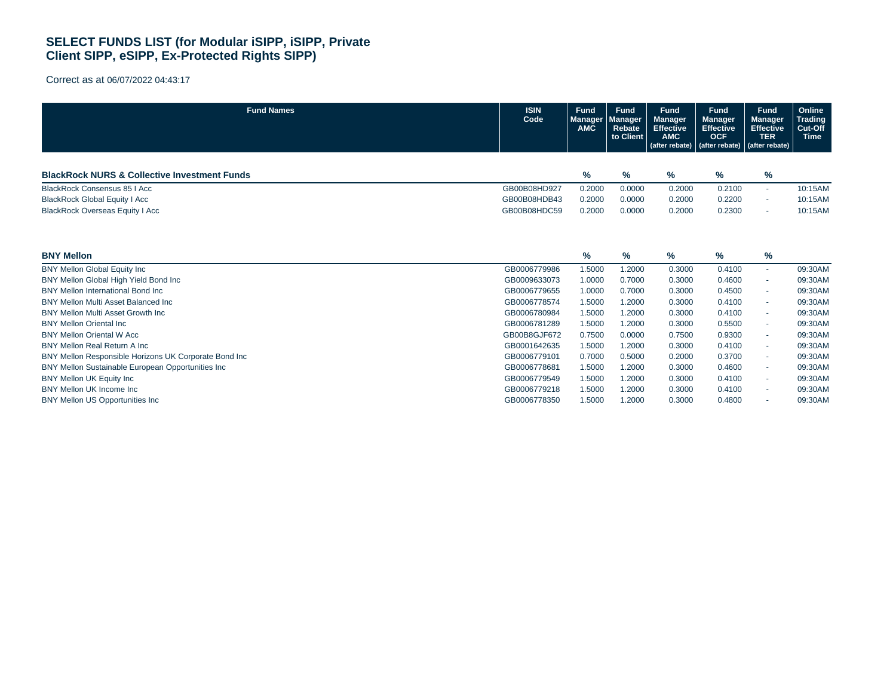| <b>Fund Names</b>                                       | <b>ISIN</b><br>Code | Fund<br><b>Manager</b><br><b>AMC</b> | <b>Fund</b><br><b>Manager</b><br>Rebate<br>to Client | <b>Fund</b><br><b>Manager</b><br><b>Effective</b><br><b>AMC</b><br>(after rebate) | <b>Fund</b><br><b>Manager</b><br><b>Effective</b><br><b>OCF</b><br>(after rebate) | <b>Fund</b><br><b>Manager</b><br><b>Effective</b><br><b>TER</b><br>(after rebate) | Online<br><b>Trading</b><br>Cut-Off<br><b>Time</b> |
|---------------------------------------------------------|---------------------|--------------------------------------|------------------------------------------------------|-----------------------------------------------------------------------------------|-----------------------------------------------------------------------------------|-----------------------------------------------------------------------------------|----------------------------------------------------|
| <b>BlackRock NURS &amp; Collective Investment Funds</b> |                     | %                                    | $\%$                                                 | %                                                                                 | %                                                                                 | %                                                                                 |                                                    |
| <b>BlackRock Consensus 85   Acc</b>                     | GB00B08HD927        | 0.2000                               | 0.0000                                               | 0.2000                                                                            | 0.2100                                                                            | $\sim$                                                                            | 10:15AM                                            |
| <b>BlackRock Global Equity I Acc</b>                    | GB00B08HDB43        | 0.2000                               | 0.0000                                               | 0.2000                                                                            | 0.2200                                                                            | ٠                                                                                 | 10:15AM                                            |
| <b>BlackRock Overseas Equity I Acc</b>                  | GB00B08HDC59        | 0.2000                               | 0.0000                                               | 0.2000                                                                            | 0.2300                                                                            | ٠                                                                                 | 10:15AM                                            |
| <b>BNY Mellon</b>                                       |                     | %                                    | %                                                    | %                                                                                 | $\%$                                                                              | $\%$                                                                              |                                                    |
| <b>BNY Mellon Global Equity Inc</b>                     | GB0006779986        | 1.5000                               | 1.2000                                               | 0.3000                                                                            | 0.4100                                                                            | ٠                                                                                 | 09:30AM                                            |
| BNY Mellon Global High Yield Bond Inc                   | GB0009633073        | 1.0000                               | 0.7000                                               | 0.3000                                                                            | 0.4600                                                                            | ٠                                                                                 | 09:30AM                                            |
| BNY Mellon International Bond Inc.                      | GB0006779655        | 1.0000                               | 0.7000                                               | 0.3000                                                                            | 0.4500                                                                            | ٠                                                                                 | 09:30AM                                            |
| <b>BNY Mellon Multi Asset Balanced Inc.</b>             | GB0006778574        | 1.5000                               | 1.2000                                               | 0.3000                                                                            | 0.4100                                                                            | ٠                                                                                 | 09:30AM                                            |
| <b>BNY Mellon Multi Asset Growth Inc.</b>               | GB0006780984        | 1.5000                               | 1.2000                                               | 0.3000                                                                            | 0.4100                                                                            | ٠                                                                                 | 09:30AM                                            |
| <b>BNY Mellon Oriental Inc.</b>                         | GB0006781289        | 1.5000                               | 1.2000                                               | 0.3000                                                                            | 0.5500                                                                            | ٠                                                                                 | 09:30AM                                            |
| <b>BNY Mellon Oriental W Acc</b>                        | GB00B8GJF672        | 0.7500                               | 0.0000                                               | 0.7500                                                                            | 0.9300                                                                            | $\sim$                                                                            | 09:30AM                                            |
| <b>BNY Mellon Real Return A Inc.</b>                    | GB0001642635        | 1.5000                               | 1.2000                                               | 0.3000                                                                            | 0.4100                                                                            | ٠                                                                                 | 09:30AM                                            |
| BNY Mellon Responsible Horizons UK Corporate Bond Inc   | GB0006779101        | 0.7000                               | 0.5000                                               | 0.2000                                                                            | 0.3700                                                                            | ٠                                                                                 | 09:30AM                                            |
| BNY Mellon Sustainable European Opportunities Inc       | GB0006778681        | 1.5000                               | 1.2000                                               | 0.3000                                                                            | 0.4600                                                                            | $\sim$                                                                            | 09:30AM                                            |
| <b>BNY Mellon UK Equity Inc.</b>                        | GB0006779549        | 1.5000                               | 1.2000                                               | 0.3000                                                                            | 0.4100                                                                            | ٠                                                                                 | 09:30AM                                            |
| BNY Mellon UK Income Inc.                               | GB0006779218        | 1.5000                               | 1.2000                                               | 0.3000                                                                            | 0.4100                                                                            | ٠                                                                                 | 09:30AM                                            |
| <b>BNY Mellon US Opportunities Inc.</b>                 | GB0006778350        | 1.5000                               | 1.2000                                               | 0.3000                                                                            | 0.4800                                                                            |                                                                                   | 09:30AM                                            |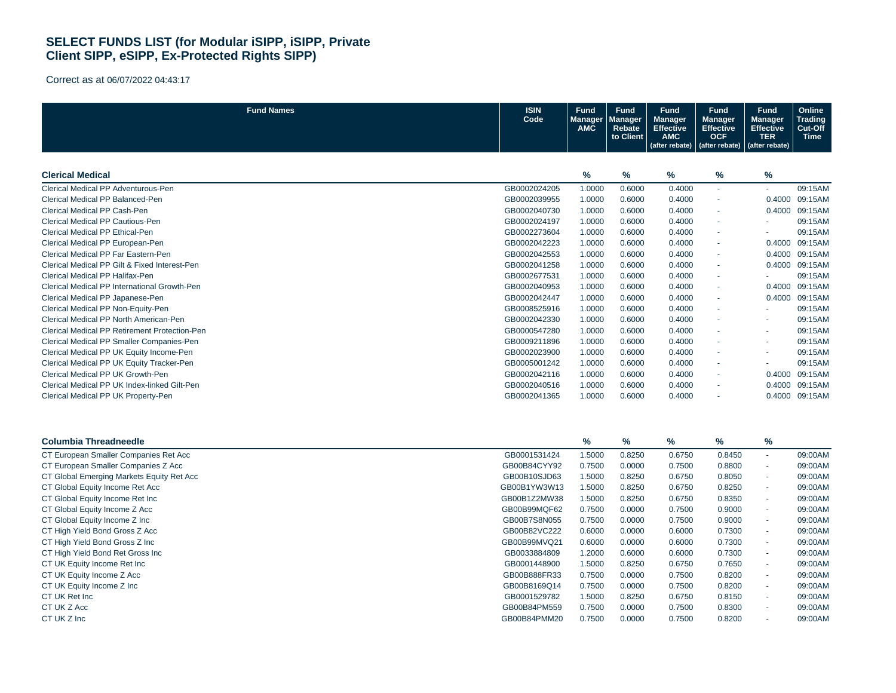Correct as at 06/07/2022 04:43:17

| <b>Fund Names</b>                             | <b>ISIN</b><br>Code | <b>Fund</b><br>Manager<br><b>AMC</b> | <b>Fund</b><br><b>Manager</b><br><b>Rebate</b><br>to Client | <b>Fund</b><br><b>Manager</b><br><b>Effective</b><br><b>AMC</b> | <b>Fund</b><br><b>Manager</b><br><b>Effective</b><br><b>OCF</b> | <b>Fund</b><br><b>Manager</b><br><b>Effective</b><br><b>TER</b> | Online<br><b>Trading</b><br>Cut-Off<br><b>Time</b> |
|-----------------------------------------------|---------------------|--------------------------------------|-------------------------------------------------------------|-----------------------------------------------------------------|-----------------------------------------------------------------|-----------------------------------------------------------------|----------------------------------------------------|
|                                               |                     |                                      |                                                             | (after rebate)                                                  | (after rebate)                                                  | (after rebate)                                                  |                                                    |
|                                               |                     |                                      |                                                             |                                                                 |                                                                 |                                                                 |                                                    |
| <b>Clerical Medical</b>                       |                     | %                                    | %                                                           | %                                                               | %                                                               | %                                                               |                                                    |
| Clerical Medical PP Adventurous-Pen           | GB0002024205        | 1.0000                               | 0.6000                                                      | 0.4000                                                          | $\mathbf{r}$                                                    | ä,                                                              | 09:15AM                                            |
| Clerical Medical PP Balanced-Pen              | GB0002039955        | 1.0000                               | 0.6000                                                      | 0.4000                                                          | $\blacksquare$                                                  | 0.4000                                                          | 09:15AM                                            |
| Clerical Medical PP Cash-Pen                  | GB0002040730        | 1.0000                               | 0.6000                                                      | 0.4000                                                          |                                                                 | 0.4000                                                          | 09:15AM                                            |
| Clerical Medical PP Cautious-Pen              | GB0002024197        | 1.0000                               | 0.6000                                                      | 0.4000                                                          | $\sim$                                                          | ÷.                                                              | 09:15AM                                            |
| Clerical Medical PP Ethical-Pen               | GB0002273604        | 1.0000                               | 0.6000                                                      | 0.4000                                                          | $\mathbf{r}$                                                    | ä,                                                              | 09:15AM                                            |
| Clerical Medical PP European-Pen              | GB0002042223        | 1.0000                               | 0.6000                                                      | 0.4000                                                          | $\sim$                                                          | 0.4000                                                          | 09:15AM                                            |
| Clerical Medical PP Far Eastern-Pen           | GB0002042553        | 1.0000                               | 0.6000                                                      | 0.4000                                                          | ×.                                                              | 0.4000                                                          | 09:15AM                                            |
| Clerical Medical PP Gilt & Fixed Interest-Pen | GB0002041258        | 1.0000                               | 0.6000                                                      | 0.4000                                                          | $\mathbf{r}$                                                    | 0.4000                                                          | 09:15AM                                            |
| Clerical Medical PP Halifax-Pen               | GB0002677531        | 1.0000                               | 0.6000                                                      | 0.4000                                                          | $\sim$                                                          |                                                                 | 09:15AM                                            |
| Clerical Medical PP International Growth-Pen  | GB0002040953        | 1.0000                               | 0.6000                                                      | 0.4000                                                          | $\blacksquare$                                                  | 0.4000                                                          | 09:15AM                                            |
| Clerical Medical PP Japanese-Pen              | GB0002042447        | 1.0000                               | 0.6000                                                      | 0.4000                                                          | $\sim$                                                          | 0.4000                                                          | 09:15AM                                            |
| Clerical Medical PP Non-Equity-Pen            | GB0008525916        | 1.0000                               | 0.6000                                                      | 0.4000                                                          | ×.                                                              |                                                                 | 09:15AM                                            |
| Clerical Medical PP North American-Pen        | GB0002042330        | 1.0000                               | 0.6000                                                      | 0.4000                                                          | $\sim$                                                          | ٠                                                               | 09:15AM                                            |
| Clerical Medical PP Retirement Protection-Pen | GB0000547280        | 1.0000                               | 0.6000                                                      | 0.4000                                                          |                                                                 |                                                                 | 09:15AM                                            |
| Clerical Medical PP Smaller Companies-Pen     | GB0009211896        | 1.0000                               | 0.6000                                                      | 0.4000                                                          | $\sim$                                                          | ٠                                                               | 09:15AM                                            |
| Clerical Medical PP UK Equity Income-Pen      | GB0002023900        | 1.0000                               | 0.6000                                                      | 0.4000                                                          | ×.                                                              | ×.                                                              | 09:15AM                                            |
| Clerical Medical PP UK Equity Tracker-Pen     | GB0005001242        | 1.0000                               | 0.6000                                                      | 0.4000                                                          |                                                                 | ٠                                                               | 09:15AM                                            |
| Clerical Medical PP UK Growth-Pen             | GB0002042116        | 1.0000                               | 0.6000                                                      | 0.4000                                                          | $\overline{\phantom{a}}$                                        | 0.4000                                                          | 09:15AM                                            |
| Clerical Medical PP UK Index-linked Gilt-Pen  | GB0002040516        | 1.0000                               | 0.6000                                                      | 0.4000                                                          | $\blacksquare$                                                  | 0.4000                                                          | 09:15AM                                            |
| Clerical Medical PP UK Property-Pen           | GB0002041365        | 1.0000                               | 0.6000                                                      | 0.4000                                                          |                                                                 | 0.4000                                                          | 09:15AM                                            |
|                                               |                     |                                      |                                                             |                                                                 |                                                                 |                                                                 |                                                    |
| <b>Columbia Threadneedle</b>                  |                     | %                                    | %                                                           | %                                                               | %                                                               | %                                                               |                                                    |
| CT European Smaller Companies Ret Acc         | GB0001531424        | 1.5000                               | 0.8250                                                      | 0.6750                                                          | 0.8450                                                          | ÷.                                                              | 09:00AM                                            |
| CT European Smaller Companies Z Acc           | GB00B84CYY92        | 0.7500                               | 0.0000                                                      | 0.7500                                                          | 0.8800                                                          | ×.                                                              | 09:00AM                                            |
| CT Global Emerging Markets Equity Ret Acc     | GB00B10SJD63        | 1.5000                               | 0.8250                                                      | 0.6750                                                          | 0.8050                                                          |                                                                 | 09:00AM                                            |
| CT Global Equity Income Ret Acc               | GB00B1YW3W13        | 1.5000                               | 0.8250                                                      | 0.6750                                                          | 0.8250                                                          | ×.                                                              | 09:00AM                                            |
| CT Global Equity Income Ret Inc               | GB00B1Z2MW38        | 1.5000                               | 0.8250                                                      | 0.6750                                                          | 0.8350                                                          | ×.                                                              | 09:00AM                                            |
| CT Global Equity Income Z Acc                 | GB00B99MQF62        | 0.7500                               | 0.0000                                                      | 0.7500                                                          | 0.9000                                                          |                                                                 | 09:00AM                                            |
| CT Global Equity Income Z Inc                 | GB00B7S8N055        | 0.7500                               | 0.0000                                                      | 0.7500                                                          | 0.9000                                                          | $\sim$                                                          | 09:00AM                                            |
| CT High Yield Bond Gross Z Acc                | GB00B82VC222        | 0.6000                               | 0.0000                                                      | 0.6000                                                          | 0.7300                                                          | ×.                                                              | 09:00AM                                            |
| CT High Yield Bond Gross Z Inc                | GB00B99MVQ21        | 0.6000                               | 0.0000                                                      | 0.6000                                                          | 0.7300                                                          | ä.                                                              | 09:00AM                                            |
| CT High Yield Bond Ret Gross Inc              | GB0033884809        | 1.2000                               | 0.6000                                                      | 0.6000                                                          | 0.7300                                                          | ÷.                                                              | 09:00AM                                            |
| CT UK Equity Income Ret Inc                   | GB0001448900        | 1.5000                               | 0.8250                                                      | 0.6750                                                          | 0.7650                                                          | ä,                                                              | 09:00AM                                            |
| CT UK Equity Income Z Acc                     | GB00B888FR33        | 0.7500                               | 0.0000                                                      | 0.7500                                                          | 0.8200                                                          |                                                                 | 09:00AM                                            |
| CT UK Equity Income Z Inc                     | GB00B8169Q14        | 0.7500                               | 0.0000                                                      | 0.7500                                                          | 0.8200                                                          | ÷.                                                              | 09:00AM                                            |
| CT UK Ret Inc                                 | GB0001529782        | 1.5000                               | 0.8250                                                      | 0.6750                                                          | 0.8150                                                          |                                                                 | 09:00AM                                            |

CT UK Z Acc GB00B84PM559 0.7500 0.0000 0.7500 0.8300 - 09:00AM CT UK Z Inc GB00B84PMM20 0.7500 0.0000 0.7500 0.8200 - 09:00AM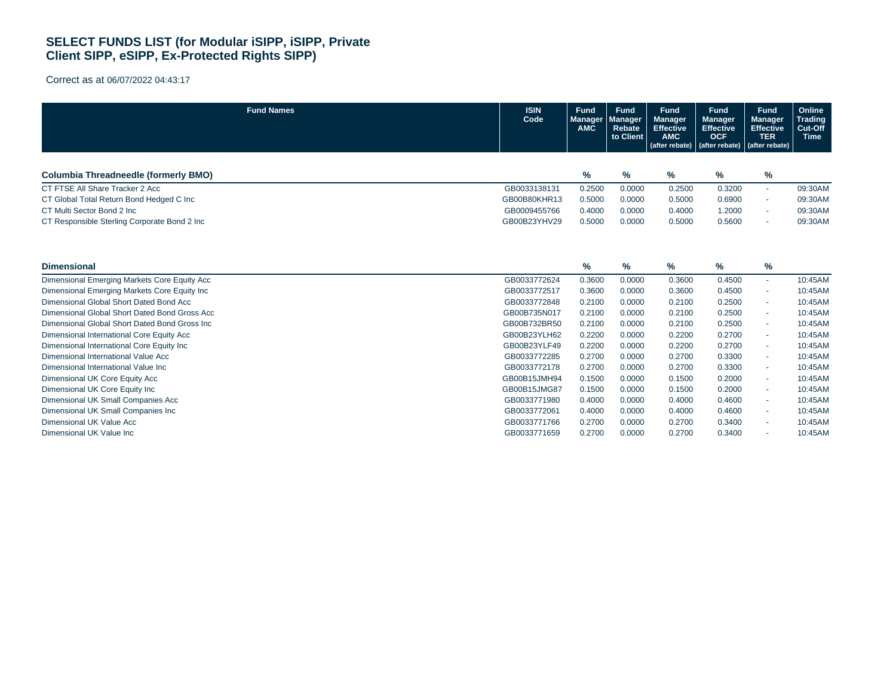| <b>Fund Names</b>                              | <b>ISIN</b><br>Code | <b>Fund</b><br><b>Manager</b><br><b>AMC</b> | <b>Fund</b><br><u>Manager</u><br>Rebate<br>to Client | <b>Fund</b><br><b>Manager</b><br><b>Effective</b><br><b>AMC</b><br>(after rebate) | Fund<br><b>Manager</b><br><b>Effective</b><br><b>OCF</b><br>(after rebate) | <b>Fund</b><br><b>Manager</b><br><b>Effective</b><br><b>TER</b><br>(after rebate) | Online<br><b>Trading</b><br>Cut-Off<br><b>Time</b> |
|------------------------------------------------|---------------------|---------------------------------------------|------------------------------------------------------|-----------------------------------------------------------------------------------|----------------------------------------------------------------------------|-----------------------------------------------------------------------------------|----------------------------------------------------|
|                                                |                     |                                             |                                                      |                                                                                   |                                                                            |                                                                                   |                                                    |
| <b>Columbia Threadneedle (formerly BMO)</b>    |                     | %                                           | %                                                    | $\%$                                                                              | %                                                                          | $\%$                                                                              |                                                    |
| CT FTSE All Share Tracker 2 Acc                | GB0033138131        | 0.2500                                      | 0.0000                                               | 0.2500                                                                            | 0.3200                                                                     | ٠                                                                                 | 09:30AM                                            |
| CT Global Total Return Bond Hedged C Inc       | GB00B80KHR13        | 0.5000                                      | 0.0000                                               | 0.5000                                                                            | 0.6900                                                                     | ٠                                                                                 | 09:30AM                                            |
| CT Multi Sector Bond 2 Inc.                    | GB0009455766        | 0.4000                                      | 0.0000                                               | 0.4000                                                                            | 1.2000                                                                     |                                                                                   | 09:30AM                                            |
| CT Responsible Sterling Corporate Bond 2 Inc   | GB00B23YHV29        | 0.5000                                      | 0.0000                                               | 0.5000                                                                            | 0.5600                                                                     | ٠                                                                                 | 09:30AM                                            |
| <b>Dimensional</b>                             |                     | %                                           | $\%$                                                 | $\%$                                                                              | $\%$                                                                       | $\%$                                                                              |                                                    |
| Dimensional Emerging Markets Core Equity Acc   | GB0033772624        | 0.3600                                      | 0.0000                                               | 0.3600                                                                            | 0.4500                                                                     | $\sim$                                                                            | 10:45AM                                            |
| Dimensional Emerging Markets Core Equity Inc   | GB0033772517        | 0.3600                                      | 0.0000                                               | 0.3600                                                                            | 0.4500                                                                     | ٠                                                                                 | 10:45AM                                            |
| Dimensional Global Short Dated Bond Acc        | GB0033772848        | 0.2100                                      | 0.0000                                               | 0.2100                                                                            | 0.2500                                                                     |                                                                                   | 10:45AM                                            |
| Dimensional Global Short Dated Bond Gross Acc  | GB00B735N017        | 0.2100                                      | 0.0000                                               | 0.2100                                                                            | 0.2500                                                                     | ٠                                                                                 | 10:45AM                                            |
| Dimensional Global Short Dated Bond Gross Inc. | GB00B732BR50        | 0.2100                                      | 0.0000                                               | 0.2100                                                                            | 0.2500                                                                     | ٠                                                                                 | 10:45AM                                            |
| Dimensional International Core Equity Acc      | GB00B23YLH62        | 0.2200                                      | 0.0000                                               | 0.2200                                                                            | 0.2700                                                                     | ٠                                                                                 | 10:45AM                                            |
| Dimensional International Core Equity Inc      | GB00B23YLF49        | 0.2200                                      | 0.0000                                               | 0.2200                                                                            | 0.2700                                                                     | ٠                                                                                 | 10:45AM                                            |
| Dimensional International Value Acc            | GB0033772285        | 0.2700                                      | 0.0000                                               | 0.2700                                                                            | 0.3300                                                                     | ÷.                                                                                | 10:45AM                                            |
| Dimensional International Value Inc            | GB0033772178        | 0.2700                                      | 0.0000                                               | 0.2700                                                                            | 0.3300                                                                     | ٠                                                                                 | 10:45AM                                            |
| Dimensional UK Core Equity Acc                 | GB00B15JMH94        | 0.1500                                      | 0.0000                                               | 0.1500                                                                            | 0.2000                                                                     | ٠                                                                                 | 10:45AM                                            |
| Dimensional UK Core Equity Inc                 | GB00B15JMG87        | 0.1500                                      | 0.0000                                               | 0.1500                                                                            | 0.2000                                                                     |                                                                                   | 10:45AM                                            |
| Dimensional UK Small Companies Acc             | GB0033771980        | 0.4000                                      | 0.0000                                               | 0.4000                                                                            | 0.4600                                                                     | $\sim$                                                                            | 10:45AM                                            |
| Dimensional UK Small Companies Inc             | GB0033772061        | 0.4000                                      | 0.0000                                               | 0.4000                                                                            | 0.4600                                                                     | ٠                                                                                 | 10:45AM                                            |
| Dimensional UK Value Acc                       | GB0033771766        | 0.2700                                      | 0.0000                                               | 0.2700                                                                            | 0.3400                                                                     | ٠                                                                                 | 10:45AM                                            |
| Dimensional UK Value Inc                       | GB0033771659        | 0.2700                                      | 0.0000                                               | 0.2700                                                                            | 0.3400                                                                     | ٠                                                                                 | 10:45AM                                            |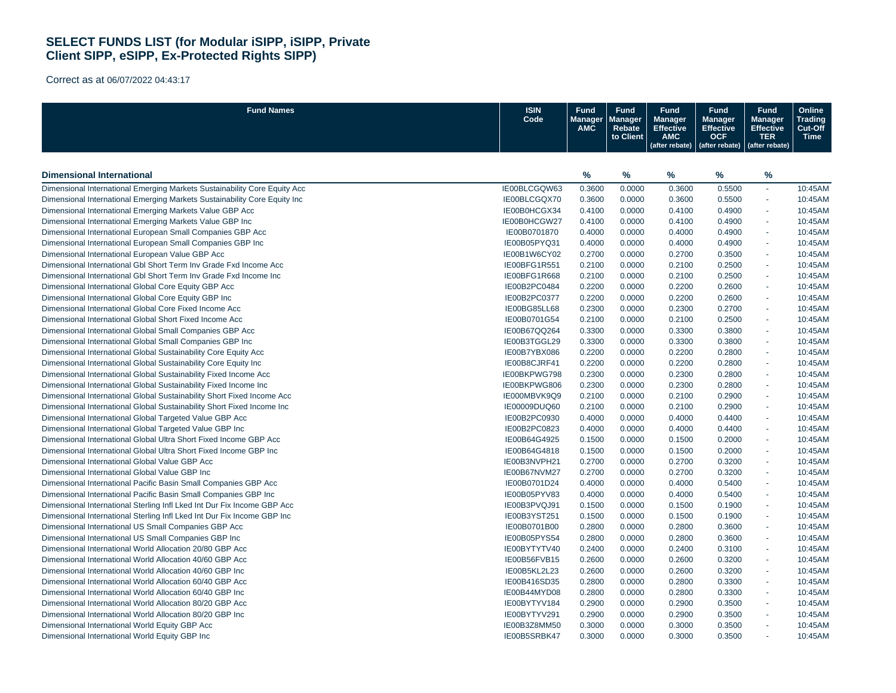| <b>Fund Names</b>                                                         | <b>ISIN</b><br>Code | <b>Fund</b><br>Manager<br>AMC | <b>Fund</b><br><b>Manager</b><br>Rebate<br>to Client | <b>Fund</b><br><b>Manager</b><br><b>Effective</b><br><b>AMC</b><br>(after rebate) | <b>Fund</b><br><b>Manager</b><br><b>Effective</b><br><b>OCF</b><br>(after rebate) | <b>Fund</b><br><b>Manager</b><br><b>Effective</b><br><b>TER</b><br>(after rebate) | Online<br>Trading<br>Cut-Off<br><b>Time</b> |
|---------------------------------------------------------------------------|---------------------|-------------------------------|------------------------------------------------------|-----------------------------------------------------------------------------------|-----------------------------------------------------------------------------------|-----------------------------------------------------------------------------------|---------------------------------------------|
|                                                                           |                     |                               |                                                      |                                                                                   |                                                                                   |                                                                                   |                                             |
| <b>Dimensional International</b>                                          |                     | $\frac{9}{6}$                 | %                                                    | %                                                                                 | %                                                                                 | %                                                                                 |                                             |
| Dimensional International Emerging Markets Sustainability Core Equity Acc | IE00BLCGQW63        | 0.3600                        | 0.0000                                               | 0.3600                                                                            | 0.5500                                                                            | ä,                                                                                | 10:45AM                                     |
| Dimensional International Emerging Markets Sustainability Core Equity Inc | IE00BLCGQX70        | 0.3600                        | 0.0000                                               | 0.3600                                                                            | 0.5500                                                                            | ä,                                                                                | 10:45AM                                     |
| Dimensional International Emerging Markets Value GBP Acc                  | IE00B0HCGX34        | 0.4100                        | 0.0000                                               | 0.4100                                                                            | 0.4900                                                                            | ä,                                                                                | 10:45AM                                     |
| Dimensional International Emerging Markets Value GBP Inc                  | IE00B0HCGW27        | 0.4100                        | 0.0000                                               | 0.4100                                                                            | 0.4900                                                                            | ä,                                                                                | 10:45AM                                     |
| Dimensional International European Small Companies GBP Acc                | IE00B0701870        | 0.4000                        | 0.0000                                               | 0.4000                                                                            | 0.4900                                                                            | $\sim$                                                                            | 10:45AM                                     |
| Dimensional International European Small Companies GBP Inc                | IE00B05PYQ31        | 0.4000                        | 0.0000                                               | 0.4000                                                                            | 0.4900                                                                            | ÷.                                                                                | 10:45AM                                     |
| Dimensional International European Value GBP Acc                          | IE00B1W6CY02        | 0.2700                        | 0.0000                                               | 0.2700                                                                            | 0.3500                                                                            | ÷,                                                                                | 10:45AM                                     |
| Dimensional International GbI Short Term Inv Grade Fxd Income Acc         | IE00BFG1R551        | 0.2100                        | 0.0000                                               | 0.2100                                                                            | 0.2500                                                                            | ÷.                                                                                | 10:45AM                                     |
| Dimensional International GbI Short Term Inv Grade Fxd Income Inc         | IE00BFG1R668        | 0.2100                        | 0.0000                                               | 0.2100                                                                            | 0.2500                                                                            | $\sim$                                                                            | 10:45AM                                     |
| Dimensional International Global Core Equity GBP Acc                      | IE00B2PC0484        | 0.2200                        | 0.0000                                               | 0.2200                                                                            | 0.2600                                                                            | ä,                                                                                | 10:45AM                                     |
| Dimensional International Global Core Equity GBP Inc                      | IE00B2PC0377        | 0.2200                        | 0.0000                                               | 0.2200                                                                            | 0.2600                                                                            | $\sim$                                                                            | 10:45AM                                     |
| Dimensional International Global Core Fixed Income Acc                    | IE00BG85LL68        | 0.2300                        | 0.0000                                               | 0.2300                                                                            | 0.2700                                                                            | ä,                                                                                | 10:45AM                                     |
| Dimensional International Global Short Fixed Income Acc                   | IE00B0701G54        | 0.2100                        | 0.0000                                               | 0.2100                                                                            | 0.2500                                                                            | $\sim$                                                                            | 10:45AM                                     |
| Dimensional International Global Small Companies GBP Acc                  | IE00B67QQ264        | 0.3300                        | 0.0000                                               | 0.3300                                                                            | 0.3800                                                                            | ä,                                                                                | 10:45AM                                     |
| Dimensional International Global Small Companies GBP Inc                  | IE00B3TGGL29        | 0.3300                        | 0.0000                                               | 0.3300                                                                            | 0.3800                                                                            | $\sim$                                                                            | 10:45AM                                     |
| Dimensional International Global Sustainability Core Equity Acc           | IE00B7YBX086        | 0.2200                        | 0.0000                                               | 0.2200                                                                            | 0.2800                                                                            | ä,                                                                                | 10:45AM                                     |
| Dimensional International Global Sustainability Core Equity Inc           | IE00B8CJRF41        | 0.2200                        | 0.0000                                               | 0.2200                                                                            | 0.2800                                                                            | $\sim$                                                                            | 10:45AM                                     |
| Dimensional International Global Sustainability Fixed Income Acc          | IE00BKPWG798        | 0.2300                        | 0.0000                                               | 0.2300                                                                            | 0.2800                                                                            | ä,                                                                                | 10:45AM                                     |
| Dimensional International Global Sustainability Fixed Income Inc          | IE00BKPWG806        | 0.2300                        | 0.0000                                               | 0.2300                                                                            | 0.2800                                                                            | $\sim$                                                                            | 10:45AM                                     |
| Dimensional International Global Sustainability Short Fixed Income Acc    | IE000MBVK9Q9        | 0.2100                        | 0.0000                                               | 0.2100                                                                            | 0.2900                                                                            | ä,                                                                                | 10:45AM                                     |
| Dimensional International Global Sustainability Short Fixed Income Inc    | IE00009DUQ60        | 0.2100                        | 0.0000                                               | 0.2100                                                                            | 0.2900                                                                            | $\overline{\phantom{a}}$                                                          | 10:45AM                                     |
| Dimensional International Global Targeted Value GBP Acc                   | IE00B2PC0930        | 0.4000                        | 0.0000                                               | 0.4000                                                                            | 0.4400                                                                            | ÷.                                                                                | 10:45AM                                     |
| Dimensional International Global Targeted Value GBP Inc                   | IE00B2PC0823        | 0.4000                        | 0.0000                                               | 0.4000                                                                            | 0.4400                                                                            | $\overline{\phantom{a}}$                                                          | 10:45AM                                     |
| Dimensional International Global Ultra Short Fixed Income GBP Acc         | IE00B64G4925        | 0.1500                        | 0.0000                                               | 0.1500                                                                            | 0.2000                                                                            | ÷.                                                                                | 10:45AM                                     |
| Dimensional International Global Ultra Short Fixed Income GBP Inc         | IE00B64G4818        | 0.1500                        | 0.0000                                               |                                                                                   | 0.2000                                                                            | $\overline{\phantom{a}}$                                                          | 10:45AM                                     |
|                                                                           |                     |                               |                                                      | 0.1500                                                                            | 0.3200                                                                            | ÷.                                                                                |                                             |
| Dimensional International Global Value GBP Acc                            | IE00B3NVPH21        | 0.2700                        | 0.0000                                               | 0.2700                                                                            |                                                                                   |                                                                                   | 10:45AM                                     |
| Dimensional International Global Value GBP Inc                            | IE00B67NVM27        | 0.2700                        | 0.0000                                               | 0.2700                                                                            | 0.3200                                                                            | $\overline{\phantom{a}}$                                                          | 10:45AM                                     |
| Dimensional International Pacific Basin Small Companies GBP Acc           | IE00B0701D24        | 0.4000                        | 0.0000                                               | 0.4000                                                                            | 0.5400                                                                            | ä,                                                                                | 10:45AM                                     |
| Dimensional International Pacific Basin Small Companies GBP Inc           | IE00B05PYV83        | 0.4000                        | 0.0000                                               | 0.4000                                                                            | 0.5400                                                                            | ä,                                                                                | 10:45AM                                     |
| Dimensional International Sterling Infl Lked Int Dur Fix Income GBP Acc   | IE00B3PVQJ91        | 0.1500                        | 0.0000                                               | 0.1500                                                                            | 0.1900                                                                            | ä,                                                                                | 10:45AM                                     |
| Dimensional International Sterling Infl Lked Int Dur Fix Income GBP Inc   | IE00B3YST251        | 0.1500                        | 0.0000                                               | 0.1500                                                                            | 0.1900                                                                            | ÷,                                                                                | 10:45AM                                     |
| Dimensional International US Small Companies GBP Acc                      | IE00B0701B00        | 0.2800                        | 0.0000                                               | 0.2800                                                                            | 0.3600                                                                            |                                                                                   | 10:45AM                                     |
| Dimensional International US Small Companies GBP Inc                      | IE00B05PYS54        | 0.2800                        | 0.0000                                               | 0.2800                                                                            | 0.3600                                                                            | ä,                                                                                | 10:45AM                                     |
| Dimensional International World Allocation 20/80 GBP Acc                  | IE00BYTYTV40        | 0.2400                        | 0.0000                                               | 0.2400                                                                            | 0.3100                                                                            | ä,                                                                                | 10:45AM                                     |
| Dimensional International World Allocation 40/60 GBP Acc                  | IE00B56FVB15        | 0.2600                        | 0.0000                                               | 0.2600                                                                            | 0.3200                                                                            | ä,                                                                                | 10:45AM                                     |
| Dimensional International World Allocation 40/60 GBP Inc                  | IE00B5KL2L23        | 0.2600                        | 0.0000                                               | 0.2600                                                                            | 0.3200                                                                            |                                                                                   | 10:45AM                                     |
| Dimensional International World Allocation 60/40 GBP Acc                  | IE00B416SD35        | 0.2800                        | 0.0000                                               | 0.2800                                                                            | 0.3300                                                                            | ä,                                                                                | 10:45AM                                     |
| Dimensional International World Allocation 60/40 GBP Inc                  | IE00B44MYD08        | 0.2800                        | 0.0000                                               | 0.2800                                                                            | 0.3300                                                                            |                                                                                   | 10:45AM                                     |
| Dimensional International World Allocation 80/20 GBP Acc                  | IE00BYTYV184        | 0.2900                        | 0.0000                                               | 0.2900                                                                            | 0.3500                                                                            | ä,                                                                                | 10:45AM                                     |
| Dimensional International World Allocation 80/20 GBP Inc                  | IE00BYTYV291        | 0.2900                        | 0.0000                                               | 0.2900                                                                            | 0.3500                                                                            |                                                                                   | 10:45AM                                     |
| Dimensional International World Equity GBP Acc                            | IE00B3Z8MM50        | 0.3000                        | 0.0000                                               | 0.3000                                                                            | 0.3500                                                                            | ä,                                                                                | 10:45AM                                     |
| Dimensional International World Equity GBP Inc                            | IE00B5SRBK47        | 0.3000                        | 0.0000                                               | 0.3000                                                                            | 0.3500                                                                            |                                                                                   | 10:45AM                                     |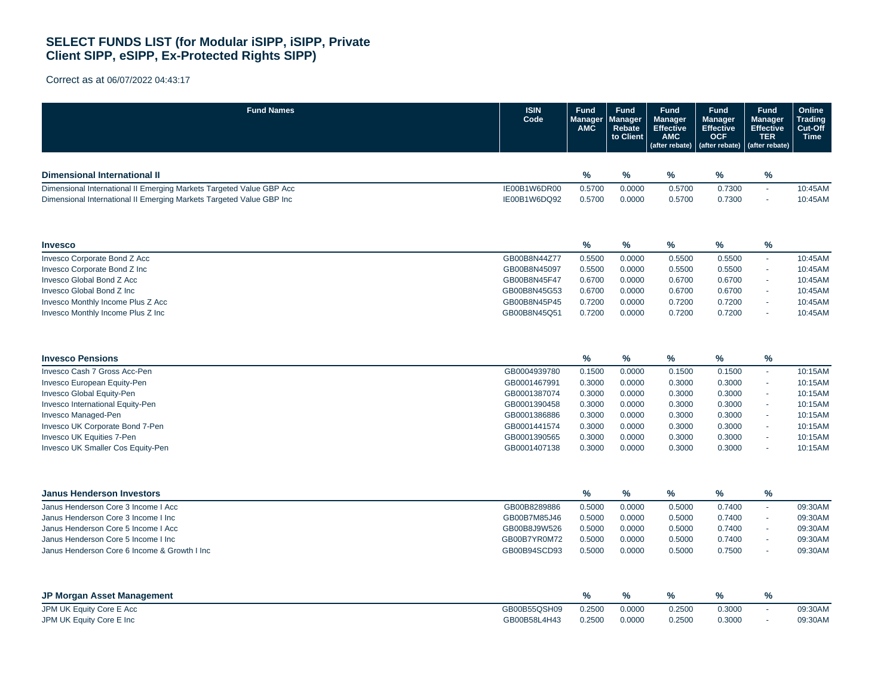| <b>Fund Names</b>                                                    | <b>ISIN</b><br>Code | <b>Fund</b><br>Manager<br><b>AMC</b> | <b>Fund</b><br>Manager<br>Rebate<br>to Client | <b>Fund</b><br><b>Manager</b><br><b>Effective</b><br><b>AMC</b><br>(after rebate) | <b>Fund</b><br><b>Manager</b><br><b>Effective</b><br><b>OCF</b><br>(after rebate) | <b>Fund</b><br><b>Manager</b><br><b>Effective</b><br><b>TER</b><br>(after rebate) | Online<br><b>Trading</b><br>Cut-Off<br><b>Time</b> |
|----------------------------------------------------------------------|---------------------|--------------------------------------|-----------------------------------------------|-----------------------------------------------------------------------------------|-----------------------------------------------------------------------------------|-----------------------------------------------------------------------------------|----------------------------------------------------|
|                                                                      |                     |                                      |                                               |                                                                                   |                                                                                   |                                                                                   |                                                    |
| Dimensional International II                                         |                     | $\%$                                 | $\%$                                          | %                                                                                 | %                                                                                 | $\frac{9}{6}$                                                                     |                                                    |
| Dimensional International II Emerging Markets Targeted Value GBP Acc | IE00B1W6DR00        | 0.5700                               | 0.0000                                        | 0.5700                                                                            | 0.7300                                                                            | ä,                                                                                | 10:45AM                                            |
| Dimensional International II Emerging Markets Targeted Value GBP Inc | IE00B1W6DQ92        | 0.5700                               | 0.0000                                        | 0.5700                                                                            | 0.7300                                                                            |                                                                                   | 10:45AM                                            |
| <b>Invesco</b>                                                       |                     | $\%$                                 | %                                             | %                                                                                 | ℅                                                                                 | %                                                                                 |                                                    |
| Invesco Corporate Bond Z Acc                                         | GB00B8N44Z77        | 0.5500                               | 0.0000                                        | 0.5500                                                                            | 0.5500                                                                            | ÷.                                                                                | 10:45AM                                            |
| Invesco Corporate Bond Z Inc                                         | GB00B8N45097        | 0.5500                               | 0.0000                                        | 0.5500                                                                            | 0.5500                                                                            | $\sim$                                                                            | 10:45AM                                            |
| <b>Invesco Global Bond Z Acc</b>                                     | GB00B8N45F47        | 0.6700                               | 0.0000                                        | 0.6700                                                                            | 0.6700                                                                            | $\tilde{\phantom{a}}$                                                             | 10:45AM                                            |
| Invesco Global Bond Z Inc                                            | GB00B8N45G53        | 0.6700                               | 0.0000                                        | 0.6700                                                                            | 0.6700                                                                            | ä,                                                                                | 10:45AM                                            |
| Invesco Monthly Income Plus Z Acc                                    | GB00B8N45P45        | 0.7200                               | 0.0000                                        | 0.7200                                                                            | 0.7200                                                                            | ä,                                                                                | 10:45AM                                            |
| Invesco Monthly Income Plus Z Inc                                    | GB00B8N45Q51        | 0.7200                               | 0.0000                                        | 0.7200                                                                            | 0.7200                                                                            |                                                                                   | 10:45AM                                            |
| <b>Invesco Pensions</b>                                              |                     | $\%$                                 | $\%$                                          | $\%$                                                                              | %                                                                                 | %                                                                                 |                                                    |
| Invesco Cash 7 Gross Acc-Pen                                         | GB0004939780        | 0.1500                               | 0.0000                                        | 0.1500                                                                            | 0.1500                                                                            | ÷.                                                                                | 10:15AM                                            |
| Invesco European Equity-Pen                                          | GB0001467991        | 0.3000                               | 0.0000                                        | 0.3000                                                                            | 0.3000                                                                            | à,                                                                                | 10:15AM                                            |
| Invesco Global Equity-Pen                                            | GB0001387074        | 0.3000                               | 0.0000                                        | 0.3000                                                                            | 0.3000                                                                            | ä,                                                                                | 10:15AM                                            |
| Invesco International Equity-Pen                                     | GB0001390458        | 0.3000                               | 0.0000                                        | 0.3000                                                                            | 0.3000                                                                            | ä,                                                                                | 10:15AM                                            |
| Invesco Managed-Pen                                                  | GB0001386886        | 0.3000                               | 0.0000                                        | 0.3000                                                                            | 0.3000                                                                            | à,                                                                                | 10:15AM                                            |
| Invesco UK Corporate Bond 7-Pen                                      | GB0001441574        | 0.3000                               | 0.0000                                        | 0.3000                                                                            | 0.3000                                                                            | ä,                                                                                | 10:15AM                                            |
| Invesco UK Equities 7-Pen                                            | GB0001390565        | 0.3000                               | 0.0000                                        | 0.3000                                                                            | 0.3000                                                                            | $\sim$                                                                            | 10:15AM                                            |
| Invesco UK Smaller Cos Equity-Pen                                    | GB0001407138        | 0.3000                               | 0.0000                                        | 0.3000                                                                            | 0.3000                                                                            |                                                                                   | 10:15AM                                            |
| <b>Janus Henderson Investors</b>                                     |                     | %                                    | %                                             | $\%$                                                                              | ℅                                                                                 | $\frac{9}{6}$                                                                     |                                                    |
| Janus Henderson Core 3 Income I Acc                                  | GB00B8289886        | 0.5000                               | 0.0000                                        | 0.5000                                                                            | 0.7400                                                                            | ä,                                                                                | 09:30AM                                            |
| Janus Henderson Core 3 Income I Inc                                  | GB00B7M85J46        | 0.5000                               | 0.0000                                        | 0.5000                                                                            | 0.7400                                                                            | ä,                                                                                | 09:30AM                                            |
| Janus Henderson Core 5 Income I Acc                                  | GB00B8J9W526        | 0.5000                               | 0.0000                                        | 0.5000                                                                            | 0.7400                                                                            | ÷.                                                                                | 09:30AM                                            |
| Janus Henderson Core 5 Income I Inc                                  | GB00B7YR0M72        | 0.5000                               | 0.0000                                        | 0.5000                                                                            | 0.7400                                                                            | ÷.                                                                                | 09:30AM                                            |
| Janus Henderson Core 6 Income & Growth I Inc                         | GB00B94SCD93        | 0.5000                               | 0.0000                                        | 0.5000                                                                            | 0.7500                                                                            | $\sim$                                                                            | 09:30AM                                            |
| JP Morgan Asset Management                                           |                     | $\frac{9}{6}$                        | $\%$                                          | %                                                                                 | %                                                                                 | %                                                                                 |                                                    |
| JPM UK Equity Core E Acc                                             | GB00B55QSH09        | 0.2500                               | 0.0000                                        | 0.2500                                                                            | 0.3000                                                                            | à,                                                                                | 09:30AM                                            |
| JPM UK Equity Core E Inc                                             | GB00B58L4H43        | 0.2500                               | 0.0000                                        | 0.2500                                                                            | 0.3000                                                                            | ä,                                                                                | 09:30AM                                            |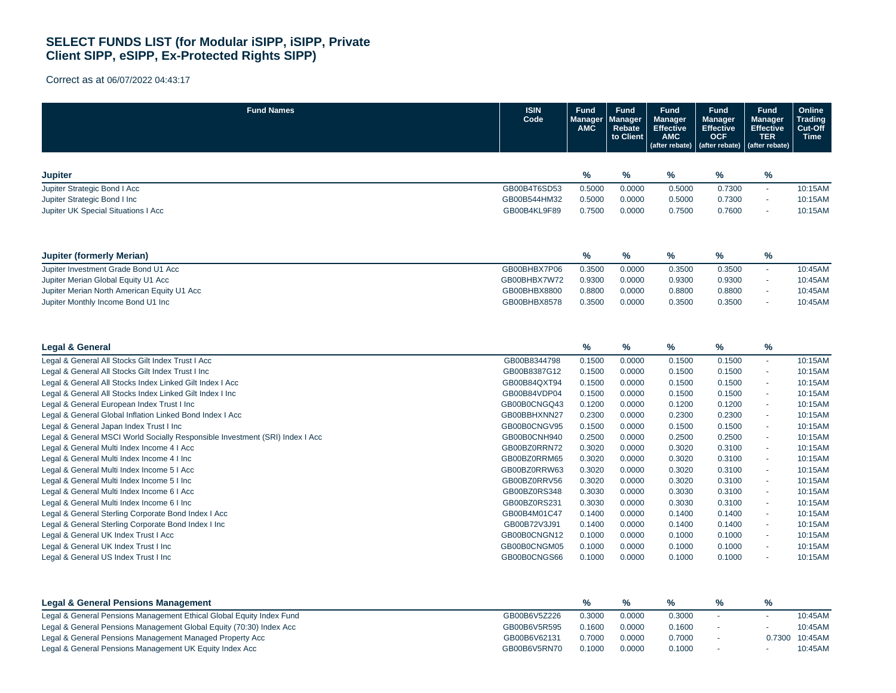| <b>Fund Names</b>                                                            | <b>ISIN</b><br>Code | <b>Fund</b><br>Manager<br><b>AMC</b> | <b>Fund</b><br><b>Manager</b><br>Rebate<br>to Client | <b>Fund</b><br><b>Manager</b><br><b>Effective</b><br><b>AMC</b><br>(after rebate) | <b>Fund</b><br><b>Manager</b><br><b>Effective</b><br><b>OCF</b><br>(after rebate) | <b>Fund</b><br>Manager<br><b>Effective</b><br><b>TER</b><br>(after rebate) | Online<br><b>Trading</b><br>Cut-Off<br><b>Time</b> |
|------------------------------------------------------------------------------|---------------------|--------------------------------------|------------------------------------------------------|-----------------------------------------------------------------------------------|-----------------------------------------------------------------------------------|----------------------------------------------------------------------------|----------------------------------------------------|
| <b>Jupiter</b>                                                               |                     | %                                    | %                                                    | %                                                                                 | %                                                                                 | $\%$                                                                       |                                                    |
| Jupiter Strategic Bond I Acc                                                 | GB00B4T6SD53        |                                      |                                                      | 0.5000                                                                            | 0.7300                                                                            |                                                                            | 10:15AM                                            |
| Jupiter Strategic Bond I Inc                                                 | GB00B544HM32        | 0.5000                               | 0.0000<br>0.0000                                     |                                                                                   | 0.7300                                                                            | $\blacksquare$                                                             | 10:15AM                                            |
| Jupiter UK Special Situations I Acc                                          | GB00B4KL9F89        | 0.5000<br>0.7500                     | 0.0000                                               | 0.5000<br>0.7500                                                                  | 0.7600                                                                            | ÷,<br>×.                                                                   | 10:15AM                                            |
|                                                                              |                     |                                      |                                                      |                                                                                   |                                                                                   |                                                                            |                                                    |
| <b>Jupiter (formerly Merian)</b>                                             |                     | $\%$                                 | $\%$                                                 | %                                                                                 | ℅                                                                                 | $\%$                                                                       |                                                    |
| Jupiter Investment Grade Bond U1 Acc                                         | GB00BHBX7P06        | 0.3500                               | 0.0000                                               | 0.3500                                                                            | 0.3500                                                                            | $\sim$                                                                     | 10:45AM                                            |
| Jupiter Merian Global Equity U1 Acc                                          | GB00BHBX7W72        | 0.9300                               | 0.0000                                               | 0.9300                                                                            | 0.9300                                                                            | ×.                                                                         | 10:45AM                                            |
| Jupiter Merian North American Equity U1 Acc                                  | GB00BHBX8800        | 0.8800                               | 0.0000                                               | 0.8800                                                                            | 0.8800                                                                            | ÷.                                                                         | 10:45AM                                            |
| Jupiter Monthly Income Bond U1 Inc                                           | GB00BHBX8578        | 0.3500                               | 0.0000                                               | 0.3500                                                                            | 0.3500                                                                            | ÷.                                                                         | 10:45AM                                            |
| <b>Legal &amp; General</b>                                                   |                     | $\%$                                 | $\%$                                                 | %                                                                                 | ℅                                                                                 | $\%$                                                                       |                                                    |
| Legal & General All Stocks Gilt Index Trust I Acc                            | GB00B8344798        | 0.1500                               | 0.0000                                               | 0.1500                                                                            | 0.1500                                                                            | ÷.                                                                         | 10:15AM                                            |
| Legal & General All Stocks Gilt Index Trust I Inc                            | GB00B8387G12        | 0.1500                               | 0.0000                                               | 0.1500                                                                            | 0.1500                                                                            | ×.                                                                         | 10:15AM                                            |
| Legal & General All Stocks Index Linked Gilt Index I Acc                     | GB00B84QXT94        | 0.1500                               | 0.0000                                               | 0.1500                                                                            | 0.1500                                                                            | $\sim$                                                                     | 10:15AM                                            |
| Legal & General All Stocks Index Linked Gilt Index I Inc                     | GB00B84VDP04        | 0.1500                               | 0.0000                                               | 0.1500                                                                            | 0.1500                                                                            | $\sim$                                                                     | 10:15AM                                            |
| Legal & General European Index Trust I Inc                                   | GB00B0CNGQ43        | 0.1200                               | 0.0000                                               | 0.1200                                                                            | 0.1200                                                                            | ×.                                                                         | 10:15AM                                            |
| Legal & General Global Inflation Linked Bond Index I Acc                     | GB00BBHXNN27        | 0.2300                               | 0.0000                                               | 0.2300                                                                            | 0.2300                                                                            | $\sim$                                                                     | 10:15AM                                            |
| Legal & General Japan Index Trust I Inc                                      | GB00B0CNGV95        | 0.1500                               | 0.0000                                               | 0.1500                                                                            | 0.1500                                                                            | ÷.                                                                         | 10:15AM                                            |
| Legal & General MSCI World Socially Responsible Investment (SRI) Index I Acc | GB00B0CNH940        | 0.2500                               | 0.0000                                               | 0.2500                                                                            | 0.2500                                                                            | $\sim$                                                                     | 10:15AM                                            |
| Legal & General Multi Index Income 4 I Acc                                   | GB00BZ0RRN72        | 0.3020                               | 0.0000                                               | 0.3020                                                                            | 0.3100                                                                            | ×.                                                                         | 10:15AM                                            |
| Legal & General Multi Index Income 4 I Inc                                   | GB00BZ0RRM65        | 0.3020                               | 0.0000                                               | 0.3020                                                                            | 0.3100                                                                            | $\mathbf{r}$                                                               | 10:15AM                                            |
| Legal & General Multi Index Income 5 I Acc                                   | GB00BZ0RRW63        | 0.3020                               | 0.0000                                               | 0.3020                                                                            | 0.3100                                                                            | $\sim$                                                                     | 10:15AM                                            |
| Legal & General Multi Index Income 5 I Inc                                   | GB00BZ0RRV56        | 0.3020                               | 0.0000                                               | 0.3020                                                                            | 0.3100                                                                            | $\sim$                                                                     | 10:15AM                                            |
| Legal & General Multi Index Income 6 I Acc                                   | GB00BZ0RS348        | 0.3030                               | 0.0000                                               | 0.3030                                                                            | 0.3100                                                                            | $\omega$                                                                   | 10:15AM                                            |
| Legal & General Multi Index Income 6 I Inc                                   | GB00BZ0RS231        | 0.3030                               | 0.0000                                               | 0.3030                                                                            | 0.3100                                                                            | ×.                                                                         | 10:15AM                                            |
| Legal & General Sterling Corporate Bond Index I Acc                          | GB00B4M01C47        | 0.1400                               | 0.0000                                               | 0.1400                                                                            | 0.1400                                                                            | ÷.                                                                         | 10:15AM                                            |
| Legal & General Sterling Corporate Bond Index I Inc                          | GB00B72V3J91        | 0.1400                               | 0.0000                                               | 0.1400                                                                            | 0.1400                                                                            | $\mathbf{r}$                                                               | 10:15AM                                            |
| Legal & General UK Index Trust I Acc                                         | GB00B0CNGN12        | 0.1000                               | 0.0000                                               | 0.1000                                                                            | 0.1000                                                                            | ÷.                                                                         | 10:15AM                                            |
| Legal & General UK Index Trust I Inc                                         | GB00B0CNGM05        | 0.1000                               | 0.0000                                               | 0.1000                                                                            | 0.1000                                                                            | $\sim$                                                                     | 10:15AM                                            |
| Legal & General US Index Trust I Inc                                         | GB00B0CNGS66        | 0.1000                               | 0.0000                                               | 0.1000                                                                            | 0.1000                                                                            | ÷.                                                                         | 10:15AM                                            |
|                                                                              |                     |                                      |                                                      |                                                                                   |                                                                                   |                                                                            |                                                    |

| <b>Legal &amp; General Pensions Management</b>                       |              |        |        | %      |        |         |
|----------------------------------------------------------------------|--------------|--------|--------|--------|--------|---------|
| Legal & General Pensions Management Ethical Global Equity Index Fund | GB00B6V5Z226 | 0.3000 | 0.0000 | 0.3000 |        | 10:45AM |
| Legal & General Pensions Management Global Equity (70:30) Index Acc  | GB00B6V5R595 | 0.1600 | 0.0000 | 0.1600 |        | 10:45AM |
| Legal & General Pensions Management Managed Property Acc             | GB00B6V62131 | 0.7000 | 0.0000 | 0.7000 | 0.7300 | 10:45AM |
| Legal & General Pensions Management UK Equity Index Acc              | GB00B6V5RN70 | 0.1000 | 0.0000 | 0.1000 |        | 10:45AM |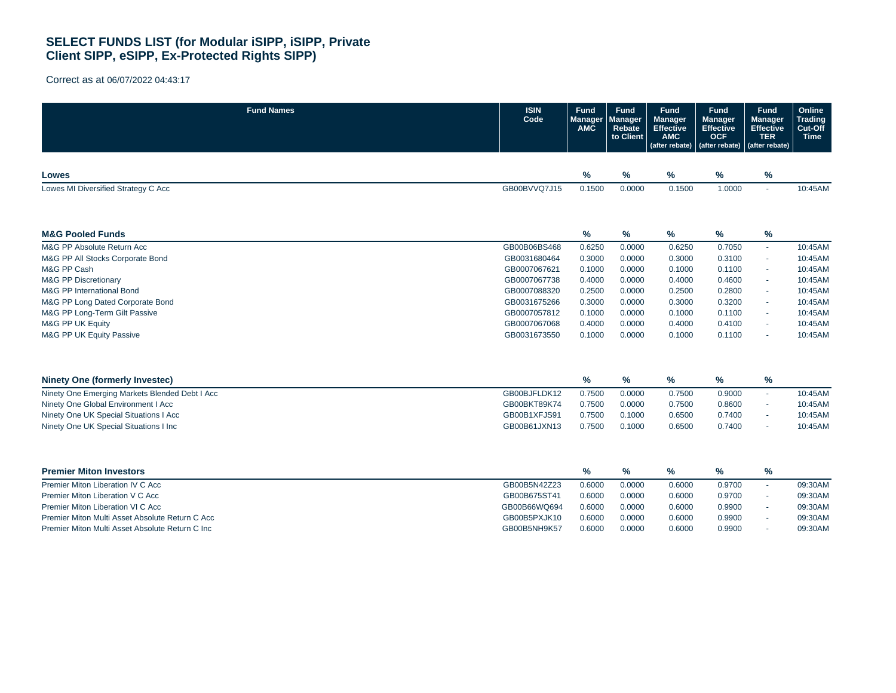| <b>Fund Names</b>                               | <b>ISIN</b><br>Code | <b>Fund</b><br>Manager<br>AMC | <b>Fund</b><br><b>Manager</b><br>Rebate<br>to Client | <b>Fund</b><br><b>Manager</b><br><b>Effective</b><br><b>AMC</b><br>(after rebate) | <b>Fund</b><br><b>Manager</b><br><b>Effective</b><br><b>OCF</b><br>(after rebate) | <b>Fund</b><br><b>Manager</b><br><b>Effective</b><br><b>TER</b><br>(after rebate) | Online<br><b>Trading</b><br>Cut-Off<br><b>Time</b> |
|-------------------------------------------------|---------------------|-------------------------------|------------------------------------------------------|-----------------------------------------------------------------------------------|-----------------------------------------------------------------------------------|-----------------------------------------------------------------------------------|----------------------------------------------------|
| Lowes                                           |                     | $\%$                          | $\%$                                                 | %                                                                                 | %                                                                                 | %                                                                                 |                                                    |
| Lowes MI Diversified Strategy C Acc             | GB00BVVQ7J15        | 0.1500                        | 0.0000                                               | 0.1500                                                                            | 1.0000                                                                            | $\sim$                                                                            | 10:45AM                                            |
| <b>M&amp;G Pooled Funds</b>                     |                     | $\%$                          | %                                                    | %                                                                                 | %                                                                                 | %                                                                                 |                                                    |
| M&G PP Absolute Return Acc                      | GB00B06BS468        | 0.6250                        | 0.0000                                               | 0.6250                                                                            | 0.7050                                                                            | $\mathbf{r}$                                                                      | 10:45AM                                            |
| M&G PP All Stocks Corporate Bond                | GB0031680464        | 0.3000                        | 0.0000                                               | 0.3000                                                                            | 0.3100                                                                            | $\sim$                                                                            | 10:45AM                                            |
| M&G PP Cash                                     | GB0007067621        | 0.1000                        | 0.0000                                               | 0.1000                                                                            | 0.1100                                                                            | ×.                                                                                | 10:45AM                                            |
| <b>M&amp;G PP Discretionary</b>                 | GB0007067738        | 0.4000                        | 0.0000                                               | 0.4000                                                                            | 0.4600                                                                            | $\sim$                                                                            | 10:45AM                                            |
| <b>M&amp;G PP International Bond</b>            | GB0007088320        | 0.2500                        | 0.0000                                               | 0.2500                                                                            | 0.2800                                                                            | $\sim$                                                                            | 10:45AM                                            |
| M&G PP Long Dated Corporate Bond                | GB0031675266        | 0.3000                        | 0.0000                                               | 0.3000                                                                            | 0.3200                                                                            | $\sim$                                                                            | 10:45AM                                            |
| M&G PP Long-Term Gilt Passive                   | GB0007057812        | 0.1000                        | 0.0000                                               | 0.1000                                                                            | 0.1100                                                                            | $\sim$                                                                            | 10:45AM                                            |
| M&G PP UK Equity                                | GB0007067068        | 0.4000                        | 0.0000                                               | 0.4000                                                                            | 0.4100                                                                            | ×.                                                                                | 10:45AM                                            |
| M&G PP UK Equity Passive                        | GB0031673550        | 0.1000                        | 0.0000                                               | 0.1000                                                                            | 0.1100                                                                            | $\sim$                                                                            | 10:45AM                                            |
| <b>Ninety One (formerly Investec)</b>           |                     | %                             | %                                                    | %                                                                                 | %                                                                                 | $\%$                                                                              |                                                    |
| Ninety One Emerging Markets Blended Debt I Acc  | GB00BJFLDK12        | 0.7500                        | 0.0000                                               | 0.7500                                                                            | 0.9000                                                                            | ÷.                                                                                | 10:45AM                                            |
| Ninety One Global Environment I Acc             | GB00BKT89K74        | 0.7500                        | 0.0000                                               | 0.7500                                                                            | 0.8600                                                                            | $\sim$                                                                            | 10:45AM                                            |
| Ninety One UK Special Situations I Acc          | GB00B1XFJS91        | 0.7500                        | 0.1000                                               | 0.6500                                                                            | 0.7400                                                                            | $\sim$                                                                            | 10:45AM                                            |
| Ninety One UK Special Situations I Inc          | GB00B61JXN13        | 0.7500                        | 0.1000                                               | 0.6500                                                                            | 0.7400                                                                            |                                                                                   | 10:45AM                                            |
| <b>Premier Miton Investors</b>                  |                     | $\%$                          | $\%$                                                 | $\%$                                                                              | %                                                                                 | %                                                                                 |                                                    |
| Premier Miton Liberation IV C Acc               | GB00B5N42Z23        | 0.6000                        | 0.0000                                               | 0.6000                                                                            | 0.9700                                                                            | $\mathbf{r}$                                                                      | 09:30AM                                            |
| Premier Miton Liberation V C Acc                | GB00B675ST41        | 0.6000                        | 0.0000                                               | 0.6000                                                                            | 0.9700                                                                            | $\overline{\phantom{a}}$                                                          | 09:30AM                                            |
| Premier Miton Liberation VI C Acc               | GB00B66WQ694        | 0.6000                        | 0.0000                                               | 0.6000                                                                            | 0.9900                                                                            |                                                                                   | 09:30AM                                            |
| Premier Miton Multi Asset Absolute Return C Acc | GB00B5PXJK10        | 0.6000                        | 0.0000                                               | 0.6000                                                                            | 0.9900                                                                            |                                                                                   | 09:30AM                                            |
| Premier Miton Multi Asset Absolute Return C Inc | GB00B5NH9K57        | 0.6000                        | 0.0000                                               | 0.6000                                                                            | 0.9900                                                                            |                                                                                   | 09:30AM                                            |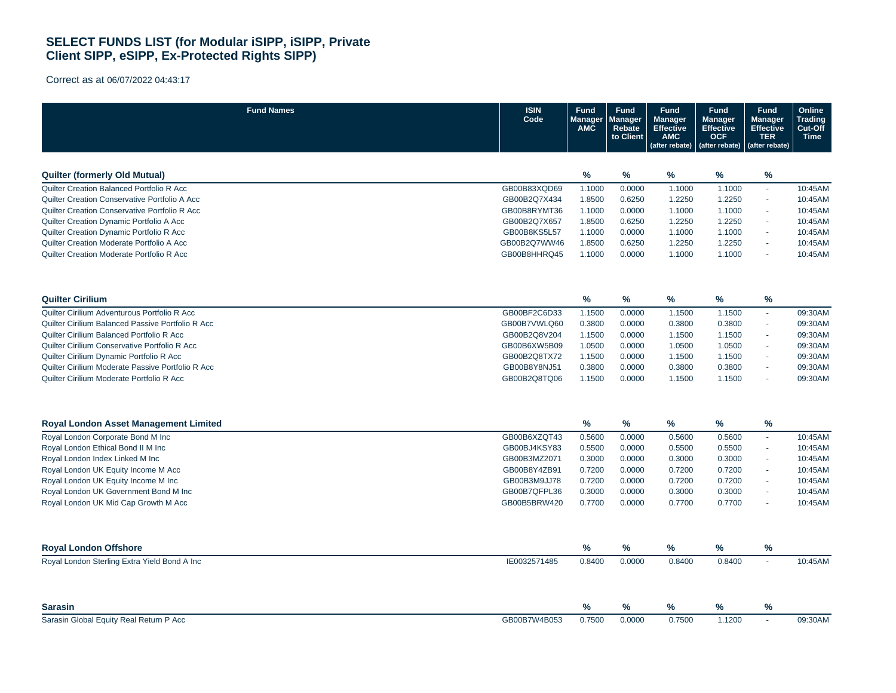| <b>Fund Names</b>                                                                      | <b>ISIN</b><br>Code          | <b>Fund</b><br>Manager<br>AMC | <b>Fund</b><br>Manager<br>Rebate<br>to Client | <b>Fund</b><br><b>Manager</b><br><b>Effective</b><br><b>AMC</b><br>(after rebate) | Fund<br><b>Manager</b><br><b>Effective</b><br><b>OCF</b><br>(after rebate) | <b>Fund</b><br>Manager<br><b>Effective</b><br><b>TER</b><br>(after rebate) | Online<br>Trading<br>Cut-Off<br><b>Time</b> |
|----------------------------------------------------------------------------------------|------------------------------|-------------------------------|-----------------------------------------------|-----------------------------------------------------------------------------------|----------------------------------------------------------------------------|----------------------------------------------------------------------------|---------------------------------------------|
|                                                                                        |                              |                               |                                               |                                                                                   |                                                                            |                                                                            |                                             |
| <b>Quilter (formerly Old Mutual)</b>                                                   |                              | $\frac{9}{6}$                 | %                                             | %                                                                                 | $\%$                                                                       | $\%$                                                                       |                                             |
| Quilter Creation Balanced Portfolio R Acc                                              | GB00B83XQD69                 | 1.1000                        | 0.0000                                        | 1.1000                                                                            | 1.1000                                                                     | $\omega$                                                                   | 10:45AM                                     |
| Quilter Creation Conservative Portfolio A Acc                                          | GB00B2Q7X434                 | 1.8500                        | 0.6250                                        | 1.2250                                                                            | 1.2250                                                                     | $\omega$                                                                   | 10:45AM                                     |
| Quilter Creation Conservative Portfolio R Acc                                          | GB00B8RYMT36                 | 1.1000                        | 0.0000                                        | 1.1000                                                                            | 1.1000                                                                     |                                                                            | 10:45AM                                     |
| Quilter Creation Dynamic Portfolio A Acc                                               | GB00B2Q7X657                 | 1.8500                        | 0.6250                                        | 1.2250                                                                            | 1.2250                                                                     | ×.                                                                         | 10:45AM                                     |
| Quilter Creation Dynamic Portfolio R Acc                                               | GB00B8KS5L57                 | 1.1000                        | 0.0000                                        | 1.1000                                                                            | 1.1000                                                                     | ×.                                                                         | 10:45AM                                     |
| Quilter Creation Moderate Portfolio A Acc<br>Quilter Creation Moderate Portfolio R Acc | GB00B2Q7WW46<br>GB00B8HHRQ45 | 1.8500<br>1.1000              | 0.6250<br>0.0000                              | 1.2250<br>1.1000                                                                  | 1.2250<br>1.1000                                                           | ×.<br>÷.                                                                   | 10:45AM<br>10:45AM                          |
|                                                                                        |                              |                               |                                               |                                                                                   |                                                                            |                                                                            |                                             |
| <b>Quilter Cirilium</b>                                                                |                              | $\%$                          | $\%$                                          | %                                                                                 | $\%$                                                                       | ℅                                                                          |                                             |
| Quilter Cirilium Adventurous Portfolio R Acc                                           | GB00BF2C6D33                 | 1.1500                        | 0.0000                                        | 1.1500                                                                            | 1.1500                                                                     | $\omega$                                                                   | 09:30AM                                     |
| Quilter Cirilium Balanced Passive Portfolio R Acc                                      | GB00B7VWLQ60                 | 0.3800                        | 0.0000                                        | 0.3800                                                                            | 0.3800                                                                     | ×.                                                                         | 09:30AM                                     |
| Quilter Cirilium Balanced Portfolio R Acc                                              | GB00B2Q8V204                 | 1.1500                        | 0.0000                                        | 1.1500                                                                            | 1.1500                                                                     | $\blacksquare$                                                             | 09:30AM                                     |
| Quilter Cirilium Conservative Portfolio R Acc                                          | GB00B6XW5B09                 | 1.0500                        | 0.0000                                        | 1.0500                                                                            | 1.0500                                                                     | $\overline{\phantom{a}}$                                                   | 09:30AM                                     |
| Quilter Cirilium Dynamic Portfolio R Acc                                               | GB00B2Q8TX72                 | 1.1500                        | 0.0000                                        | 1.1500                                                                            | 1.1500                                                                     | $\omega$                                                                   | 09:30AM                                     |
| Quilter Cirilium Moderate Passive Portfolio R Acc                                      | GB00B8Y8NJ51                 | 0.3800                        | 0.0000                                        | 0.3800                                                                            | 0.3800                                                                     | $\omega$                                                                   | 09:30AM                                     |
| Quilter Cirilium Moderate Portfolio R Acc                                              | GB00B2Q8TQ06                 | 1.1500                        | 0.0000                                        | 1.1500                                                                            | 1.1500                                                                     |                                                                            | 09:30AM                                     |
| <b>Royal London Asset Management Limited</b>                                           |                              | %                             | %                                             | %                                                                                 | ℅                                                                          | %                                                                          |                                             |
| Royal London Corporate Bond M Inc                                                      | GB00B6XZQT43                 | 0.5600                        | 0.0000                                        | 0.5600                                                                            | 0.5600                                                                     | $\sim$                                                                     | 10:45AM                                     |
| Royal London Ethical Bond II M Inc                                                     | GB00BJ4KSY83                 | 0.5500                        | 0.0000                                        | 0.5500                                                                            | 0.5500                                                                     | ×.                                                                         | 10:45AM                                     |
| Royal London Index Linked M Inc                                                        | GB00B3MZ2071                 | 0.3000                        | 0.0000                                        | 0.3000                                                                            | 0.3000                                                                     | $\blacksquare$                                                             | 10:45AM                                     |
| Royal London UK Equity Income M Acc                                                    | GB00B8Y4ZB91                 | 0.7200                        | 0.0000                                        | 0.7200                                                                            | 0.7200                                                                     | ×.                                                                         | 10:45AM                                     |
| Royal London UK Equity Income M Inc                                                    | GB00B3M9JJ78                 | 0.7200                        | 0.0000                                        | 0.7200                                                                            | 0.7200                                                                     | $\sim$                                                                     | 10:45AM                                     |
| Royal London UK Government Bond M Inc                                                  | GB00B7QFPL36                 | 0.3000                        | 0.0000                                        | 0.3000                                                                            | 0.3000                                                                     |                                                                            | 10:45AM                                     |
| Royal London UK Mid Cap Growth M Acc                                                   | GB00B5BRW420                 | 0.7700                        | 0.0000                                        | 0.7700                                                                            | 0.7700                                                                     | ÷                                                                          | 10:45AM                                     |
| <b>Royal London Offshore</b>                                                           |                              | %                             | %                                             | %                                                                                 | $\%$                                                                       | %                                                                          |                                             |
| Royal London Sterling Extra Yield Bond A Inc                                           | IE0032571485                 | 0.8400                        | 0.0000                                        | 0.8400                                                                            | 0.8400                                                                     | ÷.                                                                         | 10:45AM                                     |
| <b>Sarasin</b>                                                                         |                              | $\%$                          | %                                             | $\%$                                                                              | %                                                                          | $\%$                                                                       |                                             |
| Sarasin Global Equity Real Return P Acc                                                | GB00B7W4B053                 | 0.7500                        | 0.0000                                        | 0.7500                                                                            | 1.1200                                                                     | $\omega$                                                                   | 09:30AM                                     |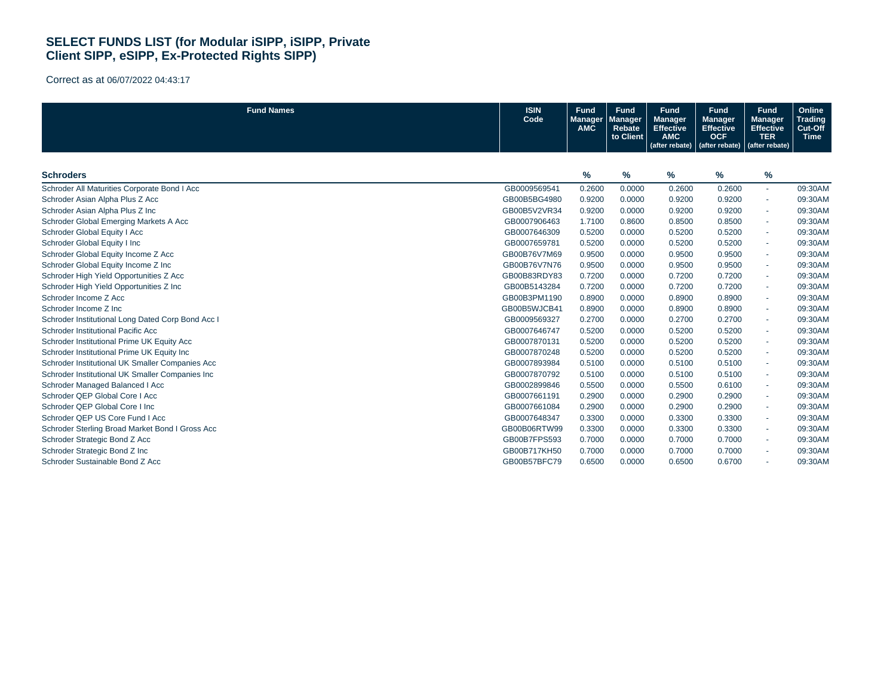| <b>Fund Names</b>                                 | <b>ISIN</b><br>Code | <b>Fund</b><br><b>Manager</b><br><b>AMC</b> | <b>Fund</b><br><b>Manager</b><br>Rebate<br>to Client | <b>Fund</b><br><b>Manager</b><br><b>Effective</b><br><b>AMC</b><br>(after rebate) | <b>Fund</b><br><b>Manager</b><br><b>Effective</b><br><b>OCF</b><br>(after rebate) | <b>Fund</b><br>Manager,<br><b>Effective</b><br><b>TER</b><br>(after rebate) | Online<br><b>Trading</b><br>Cut-Off<br><b>Time</b> |
|---------------------------------------------------|---------------------|---------------------------------------------|------------------------------------------------------|-----------------------------------------------------------------------------------|-----------------------------------------------------------------------------------|-----------------------------------------------------------------------------|----------------------------------------------------|
| <b>Schroders</b>                                  |                     | $\frac{9}{6}$                               | %                                                    | $\%$                                                                              | %                                                                                 | %                                                                           |                                                    |
| Schroder All Maturities Corporate Bond I Acc      | GB0009569541        | 0.2600                                      | 0.0000                                               | 0.2600                                                                            | 0.2600                                                                            | $\sim$                                                                      | 09:30AM                                            |
| Schroder Asian Alpha Plus Z Acc                   | GB00B5BG4980        | 0.9200                                      | 0.0000                                               | 0.9200                                                                            | 0.9200                                                                            | $\sim$                                                                      | 09:30AM                                            |
| Schroder Asian Alpha Plus Z Inc                   | GB00B5V2VR34        | 0.9200                                      | 0.0000                                               | 0.9200                                                                            | 0.9200                                                                            | $\sim$                                                                      | 09:30AM                                            |
| Schroder Global Emerging Markets A Acc            | GB0007906463        | 1.7100                                      | 0.8600                                               | 0.8500                                                                            | 0.8500                                                                            | $\sim$                                                                      | 09:30AM                                            |
| Schroder Global Equity I Acc                      | GB0007646309        | 0.5200                                      | 0.0000                                               | 0.5200                                                                            | 0.5200                                                                            | $\overline{\phantom{a}}$                                                    | 09:30AM                                            |
| Schroder Global Equity I Inc                      | GB0007659781        | 0.5200                                      | 0.0000                                               | 0.5200                                                                            | 0.5200                                                                            | $\sim$                                                                      | 09:30AM                                            |
| Schroder Global Equity Income Z Acc               | GB00B76V7M69        | 0.9500                                      | 0.0000                                               | 0.9500                                                                            | 0.9500                                                                            | $\sim$                                                                      | 09:30AM                                            |
| Schroder Global Equity Income Z Inc               | GB00B76V7N76        | 0.9500                                      | 0.0000                                               | 0.9500                                                                            | 0.9500                                                                            | $\sim$                                                                      | 09:30AM                                            |
| Schroder High Yield Opportunities Z Acc           | GB00B83RDY83        | 0.7200                                      | 0.0000                                               | 0.7200                                                                            | 0.7200                                                                            | $\sim$                                                                      | 09:30AM                                            |
| Schroder High Yield Opportunities Z Inc           | GB00B5143284        | 0.7200                                      | 0.0000                                               | 0.7200                                                                            | 0.7200                                                                            | $\sim$                                                                      | 09:30AM                                            |
| Schroder Income Z Acc                             | GB00B3PM1190        | 0.8900                                      | 0.0000                                               | 0.8900                                                                            | 0.8900                                                                            | $\sim$                                                                      | 09:30AM                                            |
| Schroder Income Z Inc                             | GB00B5WJCB41        | 0.8900                                      | 0.0000                                               | 0.8900                                                                            | 0.8900                                                                            | $\sim$                                                                      | 09:30AM                                            |
| Schroder Institutional Long Dated Corp Bond Acc I | GB0009569327        | 0.2700                                      | 0.0000                                               | 0.2700                                                                            | 0.2700                                                                            | $\sim$                                                                      | 09:30AM                                            |
| Schroder Institutional Pacific Acc                | GB0007646747        | 0.5200                                      | 0.0000                                               | 0.5200                                                                            | 0.5200                                                                            | ٠                                                                           | 09:30AM                                            |
| Schroder Institutional Prime UK Equity Acc        | GB0007870131        | 0.5200                                      | 0.0000                                               | 0.5200                                                                            | 0.5200                                                                            | ٠                                                                           | 09:30AM                                            |
| Schroder Institutional Prime UK Equity Inc.       | GB0007870248        | 0.5200                                      | 0.0000                                               | 0.5200                                                                            | 0.5200                                                                            | $\sim$                                                                      | 09:30AM                                            |
| Schroder Institutional UK Smaller Companies Acc   | GB0007893984        | 0.5100                                      | 0.0000                                               | 0.5100                                                                            | 0.5100                                                                            | $\sim$                                                                      | 09:30AM                                            |
| Schroder Institutional UK Smaller Companies Inc   | GB0007870792        | 0.5100                                      | 0.0000                                               | 0.5100                                                                            | 0.5100                                                                            | ٠                                                                           | 09:30AM                                            |
| Schroder Managed Balanced I Acc                   | GB0002899846        | 0.5500                                      | 0.0000                                               | 0.5500                                                                            | 0.6100                                                                            | $\sim$                                                                      | 09:30AM                                            |
| Schroder QEP Global Core I Acc                    | GB0007661191        | 0.2900                                      | 0.0000                                               | 0.2900                                                                            | 0.2900                                                                            | $\sim$                                                                      | 09:30AM                                            |
| Schroder QEP Global Core I Inc                    | GB0007661084        | 0.2900                                      | 0.0000                                               | 0.2900                                                                            | 0.2900                                                                            | $\sim$                                                                      | 09:30AM                                            |
| Schroder QEP US Core Fund I Acc                   | GB0007648347        | 0.3300                                      | 0.0000                                               | 0.3300                                                                            | 0.3300                                                                            | $\sim$                                                                      | 09:30AM                                            |
| Schroder Sterling Broad Market Bond I Gross Acc   | GB00B06RTW99        | 0.3300                                      | 0.0000                                               | 0.3300                                                                            | 0.3300                                                                            | $\sim$                                                                      | 09:30AM                                            |
| Schroder Strategic Bond Z Acc                     | GB00B7FPS593        | 0.7000                                      | 0.0000                                               | 0.7000                                                                            | 0.7000                                                                            | ٠                                                                           | 09:30AM                                            |
| Schroder Strategic Bond Z Inc                     | GB00B717KH50        | 0.7000                                      | 0.0000                                               | 0.7000                                                                            | 0.7000                                                                            | $\sim$                                                                      | 09:30AM                                            |
| Schroder Sustainable Bond Z Acc                   | GB00B57BFC79        | 0.6500                                      | 0.0000                                               | 0.6500                                                                            | 0.6700                                                                            | ٠                                                                           | 09:30AM                                            |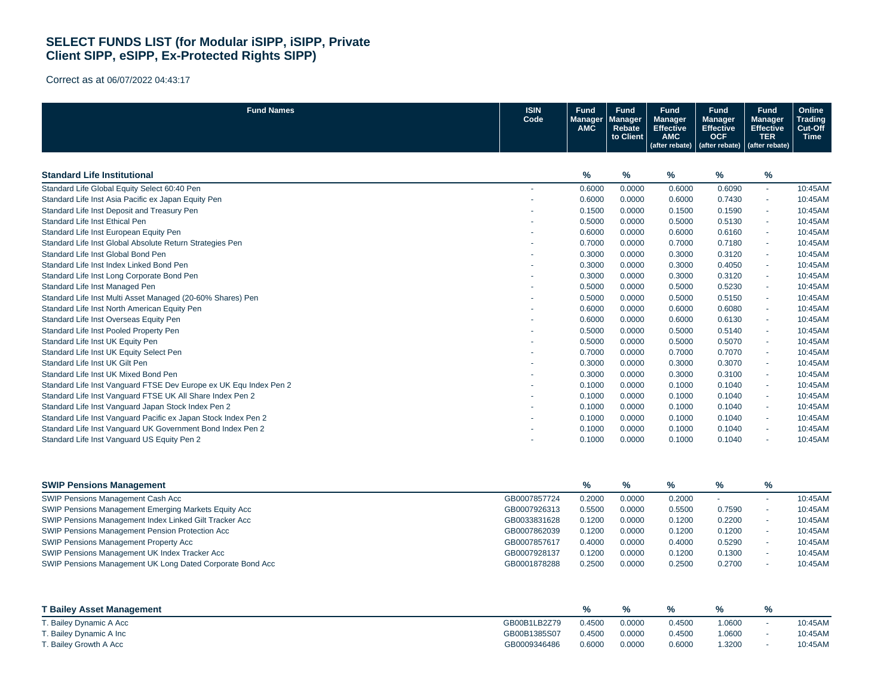| <b>Fund Names</b>                                                 | <b>ISIN</b><br>Code | Fund<br><b>Manager</b><br><b>AMC</b> | Fund<br><b>Manager</b><br>Rebate<br>to Client | <b>Fund</b><br><b>Manager</b><br><b>Effective</b><br><b>AMC</b><br>(after rebate) | <b>Fund</b><br><b>Manager</b><br><b>Effective</b><br><b>OCF</b><br>(after rebate) | <b>Fund</b><br><b>Manager</b><br><b>Effective</b><br><b>TER</b><br>(after rebate) | Online<br><b>Trading</b><br>Cut-Off<br><b>Time</b> |
|-------------------------------------------------------------------|---------------------|--------------------------------------|-----------------------------------------------|-----------------------------------------------------------------------------------|-----------------------------------------------------------------------------------|-----------------------------------------------------------------------------------|----------------------------------------------------|
| <b>Standard Life Institutional</b>                                |                     | %                                    | %                                             | ℅                                                                                 | %                                                                                 | %                                                                                 |                                                    |
| Standard Life Global Equity Select 60:40 Pen                      |                     | 0.6000                               | 0.0000                                        | 0.6000                                                                            | 0.6090                                                                            | $\sim$                                                                            | 10:45AM                                            |
| Standard Life Inst Asia Pacific ex Japan Equity Pen               |                     | 0.6000                               | 0.0000                                        | 0.6000                                                                            | 0.7430                                                                            | $\sim$                                                                            | 10:45AM                                            |
| Standard Life Inst Deposit and Treasury Pen                       |                     | 0.1500                               | 0.0000                                        | 0.1500                                                                            | 0.1590                                                                            |                                                                                   | 10:45AM                                            |
| Standard Life Inst Ethical Pen                                    |                     | 0.5000                               | 0.0000                                        | 0.5000                                                                            | 0.5130                                                                            |                                                                                   | 10:45AM                                            |
| Standard Life Inst European Equity Pen                            |                     | 0.6000                               | 0.0000                                        | 0.6000                                                                            | 0.6160                                                                            | $\sim$                                                                            | 10:45AM                                            |
| Standard Life Inst Global Absolute Return Strategies Pen          |                     | 0.7000                               | 0.0000                                        | 0.7000                                                                            | 0.7180                                                                            | $\sim$                                                                            | 10:45AM                                            |
| Standard Life Inst Global Bond Pen                                |                     | 0.3000                               | 0.0000                                        | 0.3000                                                                            | 0.3120                                                                            |                                                                                   | 10:45AM                                            |
| Standard Life Inst Index Linked Bond Pen                          |                     | 0.3000                               | 0.0000                                        | 0.3000                                                                            | 0.4050                                                                            | $\sim$                                                                            | 10:45AM                                            |
| Standard Life Inst Long Corporate Bond Pen                        |                     | 0.3000                               | 0.0000                                        | 0.3000                                                                            | 0.3120                                                                            | $\sim$                                                                            | 10:45AM                                            |
| Standard Life Inst Managed Pen                                    |                     | 0.5000                               | 0.0000                                        | 0.5000                                                                            | 0.5230                                                                            |                                                                                   | 10:45AM                                            |
| Standard Life Inst Multi Asset Managed (20-60% Shares) Pen        |                     | 0.5000                               | 0.0000                                        | 0.5000                                                                            | 0.5150                                                                            | $\sim$                                                                            | 10:45AM                                            |
| Standard Life Inst North American Equity Pen                      |                     | 0.6000                               | 0.0000                                        | 0.6000                                                                            | 0.6080                                                                            | $\sim$                                                                            | 10:45AM                                            |
| Standard Life Inst Overseas Equity Pen                            |                     | 0.6000                               | 0.0000                                        | 0.6000                                                                            | 0.6130                                                                            |                                                                                   | 10:45AM                                            |
| Standard Life Inst Pooled Property Pen                            |                     | 0.5000                               | 0.0000                                        | 0.5000                                                                            | 0.5140                                                                            | $\sim$                                                                            | 10:45AM                                            |
| Standard Life Inst UK Equity Pen                                  |                     | 0.5000                               | 0.0000                                        | 0.5000                                                                            | 0.5070                                                                            | $\sim$                                                                            | 10:45AM                                            |
| Standard Life Inst UK Equity Select Pen                           |                     | 0.7000                               | 0.0000                                        | 0.7000                                                                            | 0.7070                                                                            |                                                                                   | 10:45AM                                            |
| Standard Life Inst UK Gilt Pen                                    |                     | 0.3000                               | 0.0000                                        | 0.3000                                                                            | 0.3070                                                                            | $\sim$                                                                            | 10:45AM                                            |
| Standard Life Inst UK Mixed Bond Pen                              |                     | 0.3000                               | 0.0000                                        | 0.3000                                                                            | 0.3100                                                                            | $\sim$                                                                            | 10:45AM                                            |
| Standard Life Inst Vanguard FTSE Dev Europe ex UK Equ Index Pen 2 |                     | 0.1000                               | 0.0000                                        | 0.1000                                                                            | 0.1040                                                                            | $\sim$                                                                            | 10:45AM                                            |
| Standard Life Inst Vanguard FTSE UK All Share Index Pen 2         |                     | 0.1000                               | 0.0000                                        | 0.1000                                                                            | 0.1040                                                                            | $\sim$                                                                            | 10:45AM                                            |
| Standard Life Inst Vanguard Japan Stock Index Pen 2               |                     | 0.1000                               | 0.0000                                        | 0.1000                                                                            | 0.1040                                                                            | $\sim$                                                                            | 10:45AM                                            |
| Standard Life Inst Vanguard Pacific ex Japan Stock Index Pen 2    |                     | 0.1000                               | 0.0000                                        | 0.1000                                                                            | 0.1040                                                                            |                                                                                   | 10:45AM                                            |
| Standard Life Inst Vanguard UK Government Bond Index Pen 2        |                     | 0.1000                               | 0.0000                                        | 0.1000                                                                            | 0.1040                                                                            |                                                                                   | 10:45AM                                            |
| Standard Life Inst Vanguard US Equity Pen 2                       |                     | 0.1000                               | 0.0000                                        | 0.1000                                                                            | 0.1040                                                                            |                                                                                   | 10:45AM                                            |

| <b>SWIP Pensions Management</b>                           |              | %      | $\%$   | $\frac{9}{6}$ | %      | $\%$ |         |
|-----------------------------------------------------------|--------------|--------|--------|---------------|--------|------|---------|
| SWIP Pensions Management Cash Acc                         | GB0007857724 | 0.2000 | 0.0000 | 0.2000        |        |      | 10:45AM |
| SWIP Pensions Management Emerging Markets Equity Acc      | GB0007926313 | 0.5500 | 0.0000 | 0.5500        | 0.7590 |      | 10:45AM |
| SWIP Pensions Management Index Linked Gilt Tracker Acc    | GB0033831628 | 0.1200 | 0.0000 | 0.1200        | 0.2200 |      | 10:45AM |
| SWIP Pensions Management Pension Protection Acc           | GB0007862039 | 0.1200 | 0.0000 | 0.1200        | 0.1200 |      | 10:45AM |
| SWIP Pensions Management Property Acc                     | GB0007857617 | 0.4000 | 0.0000 | 0.4000        | 0.5290 |      | 10:45AM |
| SWIP Pensions Management UK Index Tracker Acc             | GB0007928137 | 0.1200 | 0.0000 | 0.1200        | 0.1300 |      | 10:45AM |
| SWIP Pensions Management UK Long Dated Corporate Bond Acc | GB0001878288 | 0.2500 | 0.0000 | 0.2500        | 0.2700 |      | 10:45AM |

| <b>T Bailey Asset Management</b> |              |        |        |        | ℅     |         |
|----------------------------------|--------------|--------|--------|--------|-------|---------|
| T. Bailey Dynamic A Acc          | GB00B1LB2Z79 | 0.4500 | 0.0000 | 0.4500 | .0600 | 10:45AM |
| T. Bailey Dynamic A Inc          | GB00B1385S07 | 0.4500 | 0.0000 | 0.4500 | .0600 | 10:45AM |
| T. Bailey Growth A Acc           | GB0009346486 | 0.6000 | 0.0000 | 0.6000 | .3200 | 10:45AM |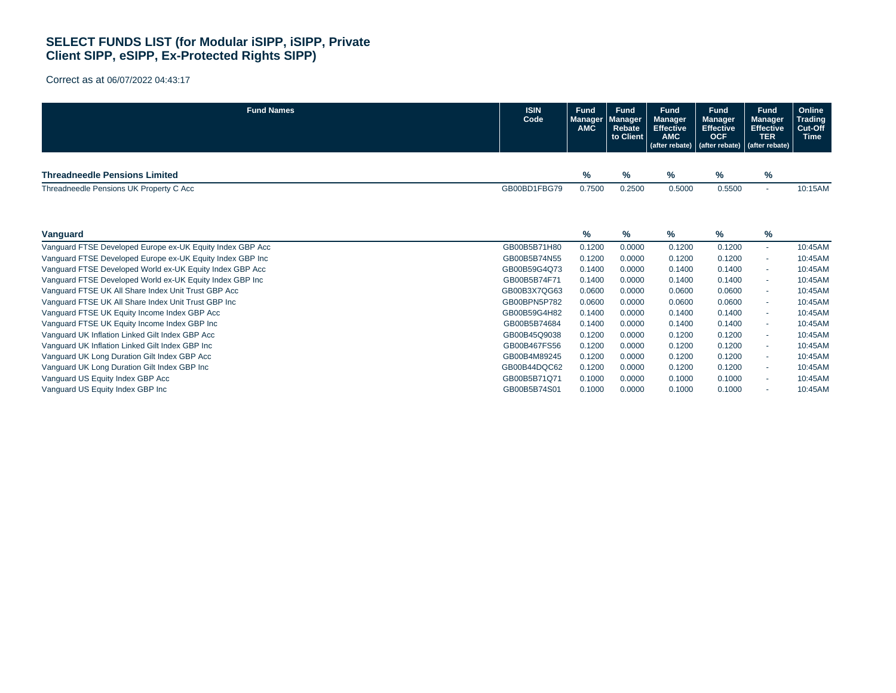| <b>Fund Names</b>                                         | <b>ISIN</b><br>Code | <b>Fund</b><br><b>Manager</b><br><b>AMC</b> | <b>Fund</b><br><b>Manager</b><br>Rebate<br>to Client | <b>Fund</b><br><b>Manager</b><br><b>Effective</b><br><b>AMC</b><br>(after rebate) | <b>Fund</b><br><b>Manager</b><br><b>Effective</b><br><b>OCF</b><br>(after rebate) | <b>Fund</b><br><b>Manager</b><br><b>Effective</b><br><b>TER</b><br>(after rebate) | Online<br><b>Trading</b><br>Cut-Off<br><b>Time</b> |
|-----------------------------------------------------------|---------------------|---------------------------------------------|------------------------------------------------------|-----------------------------------------------------------------------------------|-----------------------------------------------------------------------------------|-----------------------------------------------------------------------------------|----------------------------------------------------|
| <b>Threadneedle Pensions Limited</b>                      |                     | $\%$                                        | $\frac{9}{6}$                                        | %                                                                                 | $\%$                                                                              | $\%$                                                                              |                                                    |
| Threadneedle Pensions UK Property C Acc                   | GB00BD1FBG79        | 0.7500                                      | 0.2500                                               | 0.5000                                                                            | 0.5500                                                                            | $\sim$                                                                            | 10:15AM                                            |
|                                                           |                     |                                             |                                                      |                                                                                   |                                                                                   |                                                                                   |                                                    |
| Vanguard                                                  |                     | %                                           | $\frac{9}{6}$                                        | %                                                                                 | %                                                                                 | $\%$                                                                              |                                                    |
| Vanguard FTSE Developed Europe ex-UK Equity Index GBP Acc | GB00B5B71H80        | 0.1200                                      | 0.0000                                               | 0.1200                                                                            | 0.1200                                                                            | $\sim$                                                                            | 10:45AM                                            |
| Vanguard FTSE Developed Europe ex-UK Equity Index GBP Inc | GB00B5B74N55        | 0.1200                                      | 0.0000                                               | 0.1200                                                                            | 0.1200                                                                            | $\sim$                                                                            | 10:45AM                                            |
| Vanguard FTSE Developed World ex-UK Equity Index GBP Acc  | GB00B59G4Q73        | 0.1400                                      | 0.0000                                               | 0.1400                                                                            | 0.1400                                                                            | $\sim$                                                                            | 10:45AM                                            |
| Vanguard FTSE Developed World ex-UK Equity Index GBP Inc  | GB00B5B74F71        | 0.1400                                      | 0.0000                                               | 0.1400                                                                            | 0.1400                                                                            | $\sim$                                                                            | 10:45AM                                            |
| Vanquard FTSE UK All Share Index Unit Trust GBP Acc       | GB00B3X7QG63        | 0.0600                                      | 0.0000                                               | 0.0600                                                                            | 0.0600                                                                            | $\sim$                                                                            | 10:45AM                                            |
| Vanguard FTSE UK All Share Index Unit Trust GBP Inc       | GB00BPN5P782        | 0.0600                                      | 0.0000                                               | 0.0600                                                                            | 0.0600                                                                            | $\sim$                                                                            | 10:45AM                                            |
| Vanguard FTSE UK Equity Income Index GBP Acc              | GB00B59G4H82        | 0.1400                                      | 0.0000                                               | 0.1400                                                                            | 0.1400                                                                            | $\sim$                                                                            | 10:45AM                                            |
| Vanguard FTSE UK Equity Income Index GBP Inc              | GB00B5B74684        | 0.1400                                      | 0.0000                                               | 0.1400                                                                            | 0.1400                                                                            | $\sim$                                                                            | 10:45AM                                            |
| Vanquard UK Inflation Linked Gilt Index GBP Acc           | GB00B45Q9038        | 0.1200                                      | 0.0000                                               | 0.1200                                                                            | 0.1200                                                                            | $\sim$                                                                            | 10:45AM                                            |
| Vanguard UK Inflation Linked Gilt Index GBP Inc           | GB00B467FS56        | 0.1200                                      | 0.0000                                               | 0.1200                                                                            | 0.1200                                                                            | $\sim$                                                                            | 10:45AM                                            |
| Vanguard UK Long Duration Gilt Index GBP Acc              | GB00B4M89245        | 0.1200                                      | 0.0000                                               | 0.1200                                                                            | 0.1200                                                                            | $\sim$                                                                            | 10:45AM                                            |
| Vanguard UK Long Duration Gilt Index GBP Inc              | GB00B44DQC62        | 0.1200                                      | 0.0000                                               | 0.1200                                                                            | 0.1200                                                                            | $\sim$                                                                            | 10:45AM                                            |
| Vanguard US Equity Index GBP Acc                          | GB00B5B71Q71        | 0.1000                                      | 0.0000                                               | 0.1000                                                                            | 0.1000                                                                            | $\sim$                                                                            | 10:45AM                                            |
| Vanguard US Equity Index GBP Inc                          | GB00B5B74S01        | 0.1000                                      | 0.0000                                               | 0.1000                                                                            | 0.1000                                                                            |                                                                                   | 10:45AM                                            |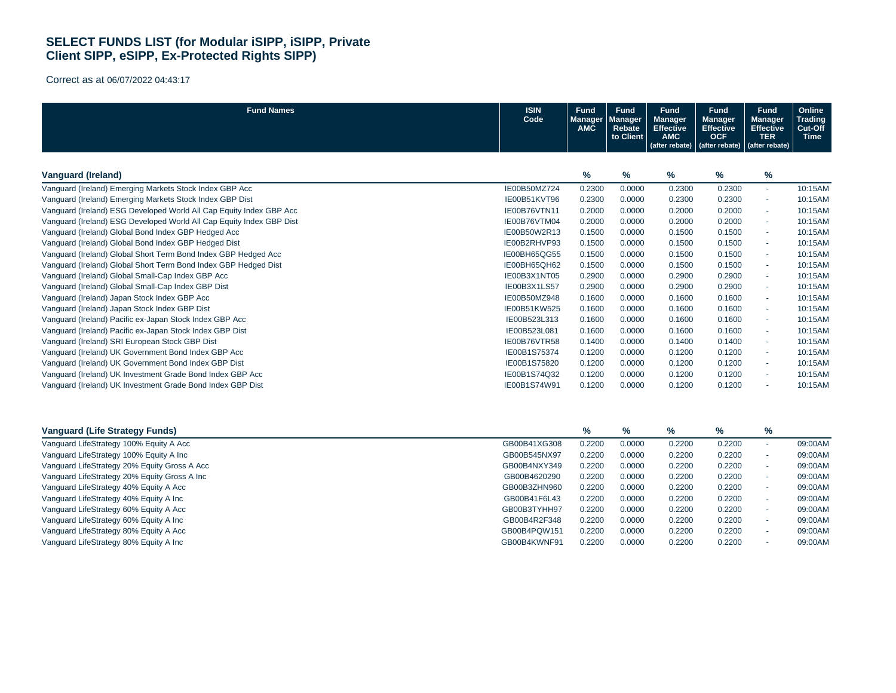| <b>Fund Names</b>                                                    | <b>ISIN</b><br>Code | <b>Fund</b><br>Manager<br><b>AMC</b> | <b>Fund</b><br><b>Manager</b><br>Rebate<br>to Client | <b>Fund</b><br><b>Manager</b><br><b>Effective</b><br><b>AMC</b><br>(after rebate) | <b>Fund</b><br><b>Manager</b><br><b>Effective</b><br><b>OCF</b><br>(after rebate) | <b>Fund</b><br><b>Manager</b><br><b>Effective</b><br><b>TER</b><br>(after rebate) | Online<br><b>Trading</b><br>Cut-Off<br><b>Time</b> |
|----------------------------------------------------------------------|---------------------|--------------------------------------|------------------------------------------------------|-----------------------------------------------------------------------------------|-----------------------------------------------------------------------------------|-----------------------------------------------------------------------------------|----------------------------------------------------|
| <b>Vanguard (Ireland)</b>                                            |                     | %                                    | %                                                    | %                                                                                 | %                                                                                 | %                                                                                 |                                                    |
| Vanguard (Ireland) Emerging Markets Stock Index GBP Acc              | IE00B50MZ724        | 0.2300                               | 0.0000                                               | 0.2300                                                                            | 0.2300                                                                            | $\sim$                                                                            | 10:15AM                                            |
| Vanguard (Ireland) Emerging Markets Stock Index GBP Dist             | IE00B51KVT96        | 0.2300                               | 0.0000                                               | 0.2300                                                                            | 0.2300                                                                            | $\sim$                                                                            | 10:15AM                                            |
| Vanguard (Ireland) ESG Developed World All Cap Equity Index GBP Acc  | IE00B76VTN11        | 0.2000                               | 0.0000                                               | 0.2000                                                                            | 0.2000                                                                            | $\sim$                                                                            | 10:15AM                                            |
| Vanguard (Ireland) ESG Developed World All Cap Equity Index GBP Dist | IE00B76VTM04        | 0.2000                               | 0.0000                                               | 0.2000                                                                            | 0.2000                                                                            | $\sim$                                                                            | 10:15AM                                            |
| Vanguard (Ireland) Global Bond Index GBP Hedged Acc                  | IE00B50W2R13        | 0.1500                               | 0.0000                                               | 0.1500                                                                            | 0.1500                                                                            | $\sim$                                                                            | 10:15AM                                            |
| Vanquard (Ireland) Global Bond Index GBP Hedged Dist                 | IE00B2RHVP93        | 0.1500                               | 0.0000                                               | 0.1500                                                                            | 0.1500                                                                            | $\sim$                                                                            | 10:15AM                                            |
| Vanguard (Ireland) Global Short Term Bond Index GBP Hedged Acc       | IE00BH65QG55        | 0.1500                               | 0.0000                                               | 0.1500                                                                            | 0.1500                                                                            | $\sim$                                                                            | 10:15AM                                            |
| Vanguard (Ireland) Global Short Term Bond Index GBP Hedged Dist      | IE00BH65QH62        | 0.1500                               | 0.0000                                               | 0.1500                                                                            | 0.1500                                                                            | $\sim$                                                                            | 10:15AM                                            |
| Vanguard (Ireland) Global Small-Cap Index GBP Acc                    | IE00B3X1NT05        | 0.2900                               | 0.0000                                               | 0.2900                                                                            | 0.2900                                                                            | $\sim$                                                                            | 10:15AM                                            |
| Vanguard (Ireland) Global Small-Cap Index GBP Dist                   | IE00B3X1LS57        | 0.2900                               | 0.0000                                               | 0.2900                                                                            | 0.2900                                                                            | $\sim$                                                                            | 10:15AM                                            |
| Vanguard (Ireland) Japan Stock Index GBP Acc                         | IE00B50MZ948        | 0.1600                               | 0.0000                                               | 0.1600                                                                            | 0.1600                                                                            | $\sim$                                                                            | 10:15AM                                            |
| Vanguard (Ireland) Japan Stock Index GBP Dist                        | IE00B51KW525        | 0.1600                               | 0.0000                                               | 0.1600                                                                            | 0.1600                                                                            |                                                                                   | 10:15AM                                            |
| Vanquard (Ireland) Pacific ex-Japan Stock Index GBP Acc              | IE00B523L313        | 0.1600                               | 0.0000                                               | 0.1600                                                                            | 0.1600                                                                            | $\sim$                                                                            | 10:15AM                                            |
| Vanguard (Ireland) Pacific ex-Japan Stock Index GBP Dist             | IE00B523L081        | 0.1600                               | 0.0000                                               | 0.1600                                                                            | 0.1600                                                                            | $\sim$                                                                            | 10:15AM                                            |
| Vanquard (Ireland) SRI European Stock GBP Dist                       | IE00B76VTR58        | 0.1400                               | 0.0000                                               | 0.1400                                                                            | 0.1400                                                                            | $\sim$                                                                            | 10:15AM                                            |
| Vanguard (Ireland) UK Government Bond Index GBP Acc                  | IE00B1S75374        | 0.1200                               | 0.0000                                               | 0.1200                                                                            | 0.1200                                                                            | $\sim$                                                                            | 10:15AM                                            |
| Vanguard (Ireland) UK Government Bond Index GBP Dist                 | IE00B1S75820        | 0.1200                               | 0.0000                                               | 0.1200                                                                            | 0.1200                                                                            | $\sim$                                                                            | 10:15AM                                            |
| Vanquard (Ireland) UK Investment Grade Bond Index GBP Acc            | IE00B1S74Q32        | 0.1200                               | 0.0000                                               | 0.1200                                                                            | 0.1200                                                                            | $\sim$                                                                            | 10:15AM                                            |
| Vanquard (Ireland) UK Investment Grade Bond Index GBP Dist           | IE00B1S74W91        | 0.1200                               | 0.0000                                               | 0.1200                                                                            | 0.1200                                                                            |                                                                                   | 10:15AM                                            |

| <b>Vanguard (Life Strategy Funds)</b>        |              | %      | %      | %      | %      | % |         |
|----------------------------------------------|--------------|--------|--------|--------|--------|---|---------|
| Vanguard LifeStrategy 100% Equity A Acc      | GB00B41XG308 | 0.2200 | 0.0000 | 0.2200 | 0.2200 |   | 09:00AM |
| Vanguard LifeStrategy 100% Equity A Inc      | GB00B545NX97 | 0.2200 | 0.0000 | 0.2200 | 0.2200 |   | 09:00AM |
| Vanguard LifeStrategy 20% Equity Gross A Acc | GB00B4NXY349 | 0.2200 | 0.0000 | 0.2200 | 0.2200 |   | 09:00AM |
| Vanguard LifeStrategy 20% Equity Gross A Inc | GB00B4620290 | 0.2200 | 0.0000 | 0.2200 | 0.2200 |   | 09:00AM |
| Vanguard LifeStrategy 40% Equity A Acc       | GB00B3ZHN960 | 0.2200 | 0.0000 | 0.2200 | 0.2200 |   | 09:00AM |
| Vanguard LifeStrategy 40% Equity A Inc       | GB00B41F6L43 | 0.2200 | 0.0000 | 0.2200 | 0.2200 |   | 09:00AM |
| Vanguard LifeStrategy 60% Equity A Acc       | GB00B3TYHH97 | 0.2200 | 0.0000 | 0.2200 | 0.2200 |   | 09:00AM |
| Vanguard LifeStrategy 60% Equity A Inc       | GB00B4R2F348 | 0.2200 | 0.0000 | 0.2200 | 0.2200 |   | 09:00AM |
| Vanguard LifeStrategy 80% Equity A Acc       | GB00B4PQW151 | 0.2200 | 0.0000 | 0.2200 | 0.2200 |   | 09:00AM |
| Vanguard LifeStrategy 80% Equity A Inc       | GB00B4KWNF91 | 0.2200 | 0.0000 | 0.2200 | 0.2200 |   | 09:00AM |